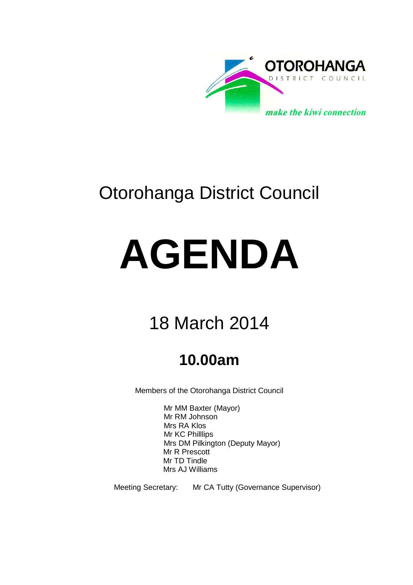

# Otorohanga District Council

# **AGENDA**

# 18 March 2014

# **10.00am**

Members of the Otorohanga District Council

Mr MM Baxter (Mayor) Mr RM Johnson Mrs RA Klos Mr KC Philllips Mrs DM Pilkington (Deputy Mayor) Mr R Prescott Mr TD Tindle Mrs AJ Williams

Meeting Secretary: Mr CA Tutty (Governance Supervisor)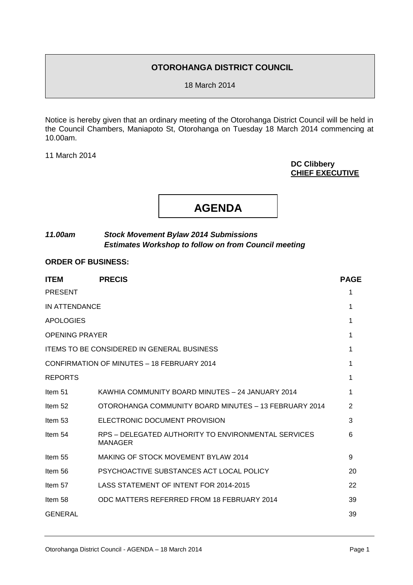# **OTOROHANGA DISTRICT COUNCIL**

18 March 2014

Notice is hereby given that an ordinary meeting of the Otorohanga District Council will be held in the Council Chambers, Maniapoto St, Otorohanga on Tuesday 18 March 2014 commencing at 10.00am.

11 March 2014

# **DC Clibbery CHIEF EXECUTIVE**



# *11.00am Stock Movement Bylaw 2014 Submissions Estimates Workshop to follow on from Council meeting*

# **ORDER OF BUSINESS:**

| <b>ITEM</b>           | <b>PRECIS</b>                                                         | <b>PAGE</b> |
|-----------------------|-----------------------------------------------------------------------|-------------|
| <b>PRESENT</b>        |                                                                       | 1           |
| IN ATTENDANCE         |                                                                       | 1           |
| <b>APOLOGIES</b>      |                                                                       | 1           |
| <b>OPENING PRAYER</b> |                                                                       | 1           |
|                       | <b>ITEMS TO BE CONSIDERED IN GENERAL BUSINESS</b>                     | 1           |
|                       | CONFIRMATION OF MINUTES - 18 FEBRUARY 2014                            | 1           |
| <b>REPORTS</b>        |                                                                       | 1           |
| Item 51               | KAWHIA COMMUNITY BOARD MINUTES - 24 JANUARY 2014                      | 1           |
| Item 52               | OTOROHANGA COMMUNITY BOARD MINUTES - 13 FEBRUARY 2014                 | 2           |
| Item 53               | ELECTRONIC DOCUMENT PROVISION                                         | 3           |
| Item 54               | RPS – DELEGATED AUTHORITY TO ENVIRONMENTAL SERVICES<br><b>MANAGER</b> | 6           |
| Item 55               | MAKING OF STOCK MOVEMENT BYLAW 2014                                   | 9           |
| Item 56               | PSYCHOACTIVE SUBSTANCES ACT LOCAL POLICY                              | 20          |
| Item 57               | LASS STATEMENT OF INTENT FOR 2014-2015                                | 22          |
| Item 58               | ODC MATTERS REFERRED FROM 18 FEBRUARY 2014                            | 39          |
| <b>GENERAL</b>        |                                                                       | 39          |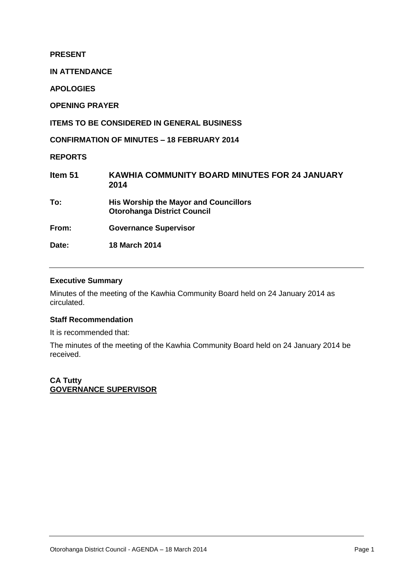**PRESENT**

**IN ATTENDANCE**

**APOLOGIES**

**OPENING PRAYER**

**ITEMS TO BE CONSIDERED IN GENERAL BUSINESS**

**CONFIRMATION OF MINUTES – 18 FEBRUARY 2014**

**REPORTS**

| Item 51 | <b>KAWHIA COMMUNITY BOARD MINUTES FOR 24 JANUARY</b><br>2014                       |
|---------|------------------------------------------------------------------------------------|
| To:     | <b>His Worship the Mayor and Councillors</b><br><b>Otorohanga District Council</b> |
| From:   | <b>Governance Supervisor</b>                                                       |
| Date:   | <b>18 March 2014</b>                                                               |
|         |                                                                                    |

# **Executive Summary**

Minutes of the meeting of the Kawhia Community Board held on 24 January 2014 as circulated.

# **Staff Recommendation**

It is recommended that:

The minutes of the meeting of the Kawhia Community Board held on 24 January 2014 be received.

**CA Tutty GOVERNANCE SUPERVISOR**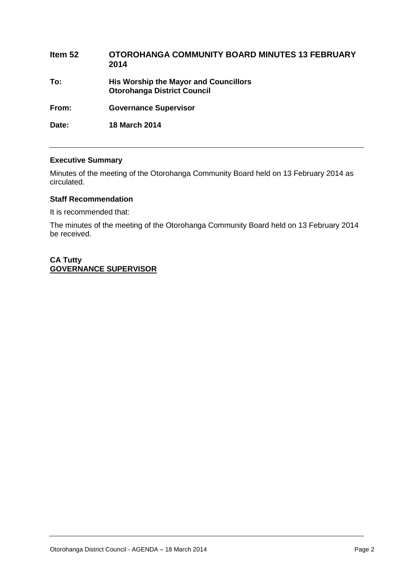| Item 52 | <b>OTOROHANGA COMMUNITY BOARD MINUTES 13 FEBRUARY</b><br>2014                      |
|---------|------------------------------------------------------------------------------------|
| To:     | <b>His Worship the Mayor and Councillors</b><br><b>Otorohanga District Council</b> |
| From:   | <b>Governance Supervisor</b>                                                       |
| Date:   | <b>18 March 2014</b>                                                               |

# **Executive Summary**

Minutes of the meeting of the Otorohanga Community Board held on 13 February 2014 as circulated.

# **Staff Recommendation**

It is recommended that:

The minutes of the meeting of the Otorohanga Community Board held on 13 February 2014 be received.

# **CA Tutty GOVERNANCE SUPERVISOR**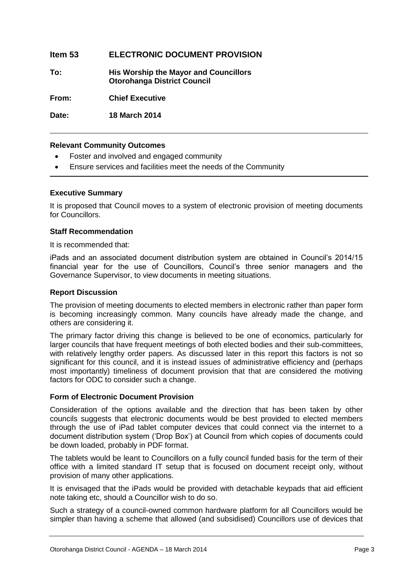# **Item 53 ELECTRONIC DOCUMENT PROVISION**

**To: His Worship the Mayor and Councillors Otorohanga District Council**

**From: Chief Executive**

**Date: 18 March 2014**

# **Relevant Community Outcomes**

- Foster and involved and engaged community
- Ensure services and facilities meet the needs of the Community

# **Executive Summary**

It is proposed that Council moves to a system of electronic provision of meeting documents for Councillors.

# **Staff Recommendation**

It is recommended that:

iPads and an associated document distribution system are obtained in Council's 2014/15 financial year for the use of Councillors, Council's three senior managers and the Governance Supervisor, to view documents in meeting situations.

# **Report Discussion**

The provision of meeting documents to elected members in electronic rather than paper form is becoming increasingly common. Many councils have already made the change, and others are considering it.

The primary factor driving this change is believed to be one of economics, particularly for larger councils that have frequent meetings of both elected bodies and their sub-committees, with relatively lengthy order papers. As discussed later in this report this factors is not so significant for this council, and it is instead issues of administrative efficiency and (perhaps most importantly) timeliness of document provision that that are considered the motiving factors for ODC to consider such a change.

# **Form of Electronic Document Provision**

Consideration of the options available and the direction that has been taken by other councils suggests that electronic documents would be best provided to elected members through the use of iPad tablet computer devices that could connect via the internet to a document distribution system ('Drop Box') at Council from which copies of documents could be down loaded, probably in PDF format.

The tablets would be leant to Councillors on a fully council funded basis for the term of their office with a limited standard IT setup that is focused on document receipt only, without provision of many other applications.

It is envisaged that the iPads would be provided with detachable keypads that aid efficient note taking etc, should a Councillor wish to do so.

Such a strategy of a council-owned common hardware platform for all Councillors would be simpler than having a scheme that allowed (and subsidised) Councillors use of devices that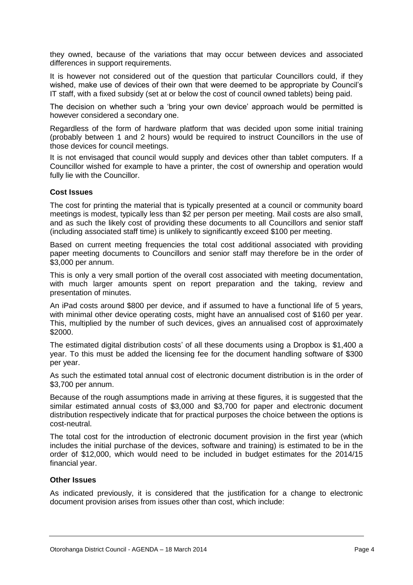they owned, because of the variations that may occur between devices and associated differences in support requirements.

It is however not considered out of the question that particular Councillors could, if they wished, make use of devices of their own that were deemed to be appropriate by Council's IT staff, with a fixed subsidy (set at or below the cost of council owned tablets) being paid.

The decision on whether such a 'bring your own device' approach would be permitted is however considered a secondary one.

Regardless of the form of hardware platform that was decided upon some initial training (probably between 1 and 2 hours) would be required to instruct Councillors in the use of those devices for council meetings.

It is not envisaged that council would supply and devices other than tablet computers. If a Councillor wished for example to have a printer, the cost of ownership and operation would fully lie with the Councillor.

# **Cost Issues**

The cost for printing the material that is typically presented at a council or community board meetings is modest, typically less than \$2 per person per meeting. Mail costs are also small, and as such the likely cost of providing these documents to all Councillors and senior staff (including associated staff time) is unlikely to significantly exceed \$100 per meeting.

Based on current meeting frequencies the total cost additional associated with providing paper meeting documents to Councillors and senior staff may therefore be in the order of \$3,000 per annum.

This is only a very small portion of the overall cost associated with meeting documentation, with much larger amounts spent on report preparation and the taking, review and presentation of minutes.

An iPad costs around \$800 per device, and if assumed to have a functional life of 5 years, with minimal other device operating costs, might have an annualised cost of \$160 per year. This, multiplied by the number of such devices, gives an annualised cost of approximately \$2000.

The estimated digital distribution costs' of all these documents using a Dropbox is \$1,400 a year. To this must be added the licensing fee for the document handling software of \$300 per year.

As such the estimated total annual cost of electronic document distribution is in the order of \$3,700 per annum.

Because of the rough assumptions made in arriving at these figures, it is suggested that the similar estimated annual costs of \$3,000 and \$3,700 for paper and electronic document distribution respectively indicate that for practical purposes the choice between the options is cost-neutral.

The total cost for the introduction of electronic document provision in the first year (which includes the initial purchase of the devices, software and training) is estimated to be in the order of \$12,000, which would need to be included in budget estimates for the 2014/15 financial year.

# **Other Issues**

As indicated previously, it is considered that the justification for a change to electronic document provision arises from issues other than cost, which include: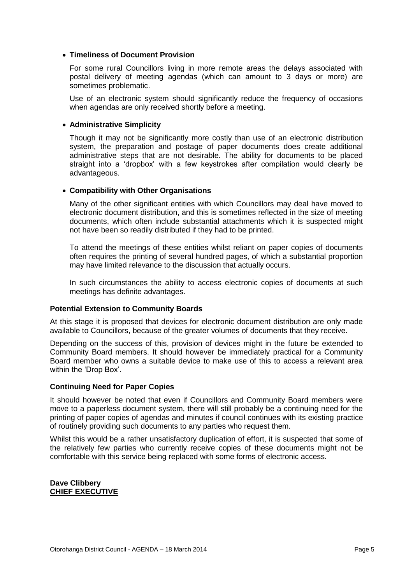# **Timeliness of Document Provision**

For some rural Councillors living in more remote areas the delays associated with postal delivery of meeting agendas (which can amount to 3 days or more) are sometimes problematic.

Use of an electronic system should significantly reduce the frequency of occasions when agendas are only received shortly before a meeting.

# **Administrative Simplicity**

Though it may not be significantly more costly than use of an electronic distribution system, the preparation and postage of paper documents does create additional administrative steps that are not desirable. The ability for documents to be placed straight into a 'dropbox' with a few keystrokes after compilation would clearly be advantageous.

# **Compatibility with Other Organisations**

Many of the other significant entities with which Councillors may deal have moved to electronic document distribution, and this is sometimes reflected in the size of meeting documents, which often include substantial attachments which it is suspected might not have been so readily distributed if they had to be printed.

To attend the meetings of these entities whilst reliant on paper copies of documents often requires the printing of several hundred pages, of which a substantial proportion may have limited relevance to the discussion that actually occurs.

In such circumstances the ability to access electronic copies of documents at such meetings has definite advantages.

# **Potential Extension to Community Boards**

At this stage it is proposed that devices for electronic document distribution are only made available to Councillors, because of the greater volumes of documents that they receive.

Depending on the success of this, provision of devices might in the future be extended to Community Board members. It should however be immediately practical for a Community Board member who owns a suitable device to make use of this to access a relevant area within the 'Drop Box'.

# **Continuing Need for Paper Copies**

It should however be noted that even if Councillors and Community Board members were move to a paperless document system, there will still probably be a continuing need for the printing of paper copies of agendas and minutes if council continues with its existing practice of routinely providing such documents to any parties who request them.

Whilst this would be a rather unsatisfactory duplication of effort, it is suspected that some of the relatively few parties who currently receive copies of these documents might not be comfortable with this service being replaced with some forms of electronic access.

# **Dave Clibbery CHIEF EXECUTIVE**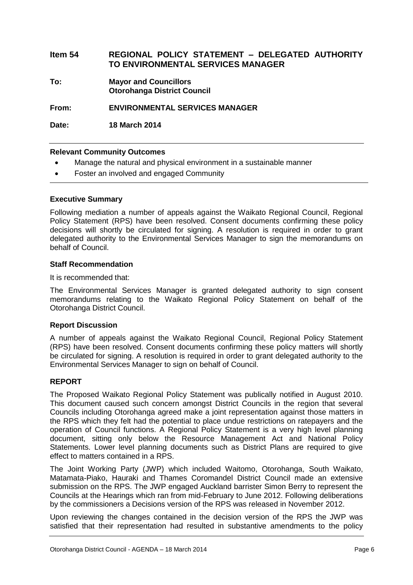# **Item 54 REGIONAL POLICY STATEMENT – DELEGATED AUTHORITY TO ENVIRONMENTAL SERVICES MANAGER**

**To: Mayor and Councillors Otorohanga District Council**

**From: ENVIRONMENTAL SERVICES MANAGER**

**Date: 18 March 2014**

# **Relevant Community Outcomes**

- Manage the natural and physical environment in a sustainable manner
- Foster an involved and engaged Community

# **Executive Summary**

Following mediation a number of appeals against the Waikato Regional Council, Regional Policy Statement (RPS) have been resolved. Consent documents confirming these policy decisions will shortly be circulated for signing. A resolution is required in order to grant delegated authority to the Environmental Services Manager to sign the memorandums on behalf of Council.

# **Staff Recommendation**

It is recommended that:

The Environmental Services Manager is granted delegated authority to sign consent memorandums relating to the Waikato Regional Policy Statement on behalf of the Otorohanga District Council.

# **Report Discussion**

A number of appeals against the Waikato Regional Council, Regional Policy Statement (RPS) have been resolved. Consent documents confirming these policy matters will shortly be circulated for signing. A resolution is required in order to grant delegated authority to the Environmental Services Manager to sign on behalf of Council.

# **REPORT**

The Proposed Waikato Regional Policy Statement was publically notified in August 2010. This document caused such concern amongst District Councils in the region that several Councils including Otorohanga agreed make a joint representation against those matters in the RPS which they felt had the potential to place undue restrictions on ratepayers and the operation of Council functions. A Regional Policy Statement is a very high level planning document, sitting only below the Resource Management Act and National Policy Statements. Lower level planning documents such as District Plans are required to give effect to matters contained in a RPS.

The Joint Working Party (JWP) which included Waitomo, Otorohanga, South Waikato, Matamata-Piako, Hauraki and Thames Coromandel District Council made an extensive submission on the RPS. The JWP engaged Auckland barrister Simon Berry to represent the Councils at the Hearings which ran from mid-February to June 2012. Following deliberations by the commissioners a Decisions version of the RPS was released in November 2012.

Upon reviewing the changes contained in the decision version of the RPS the JWP was satisfied that their representation had resulted in substantive amendments to the policy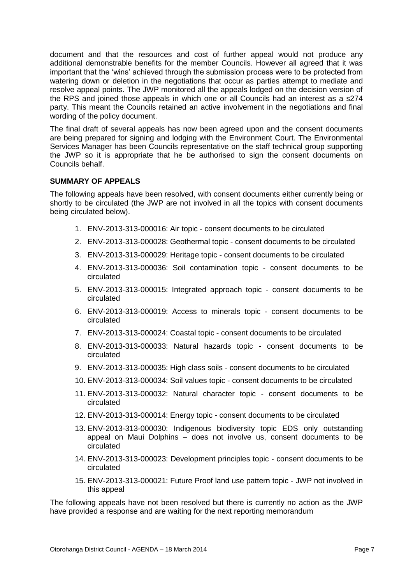document and that the resources and cost of further appeal would not produce any additional demonstrable benefits for the member Councils. However all agreed that it was important that the 'wins' achieved through the submission process were to be protected from watering down or deletion in the negotiations that occur as parties attempt to mediate and resolve appeal points. The JWP monitored all the appeals lodged on the decision version of the RPS and joined those appeals in which one or all Councils had an interest as a s274 party. This meant the Councils retained an active involvement in the negotiations and final wording of the policy document.

The final draft of several appeals has now been agreed upon and the consent documents are being prepared for signing and lodging with the Environment Court. The Environmental Services Manager has been Councils representative on the staff technical group supporting the JWP so it is appropriate that he be authorised to sign the consent documents on Councils behalf.

# **SUMMARY OF APPEALS**

The following appeals have been resolved, with consent documents either currently being or shortly to be circulated (the JWP are not involved in all the topics with consent documents being circulated below).

- 1. ENV-2013-313-000016: Air topic consent documents to be circulated
- 2. ENV-2013-313-000028: Geothermal topic consent documents to be circulated
- 3. ENV-2013-313-000029: Heritage topic consent documents to be circulated
- 4. ENV-2013-313-000036: Soil contamination topic consent documents to be circulated
- 5. ENV-2013-313-000015: Integrated approach topic consent documents to be circulated
- 6. ENV-2013-313-000019: Access to minerals topic consent documents to be circulated
- 7. ENV-2013-313-000024: Coastal topic consent documents to be circulated
- 8. ENV-2013-313-000033: Natural hazards topic consent documents to be circulated
- 9. ENV-2013-313-000035: High class soils consent documents to be circulated
- 10. ENV-2013-313-000034: Soil values topic consent documents to be circulated
- 11. ENV-2013-313-000032: Natural character topic consent documents to be circulated
- 12. ENV-2013-313-000014: Energy topic consent documents to be circulated
- 13. ENV-2013-313-000030: Indigenous biodiversity topic EDS only outstanding appeal on Maui Dolphins – does not involve us, consent documents to be circulated
- 14. ENV-2013-313-000023: Development principles topic consent documents to be circulated
- 15. ENV-2013-313-000021: Future Proof land use pattern topic JWP not involved in this appeal

The following appeals have not been resolved but there is currently no action as the JWP have provided a response and are waiting for the next reporting memorandum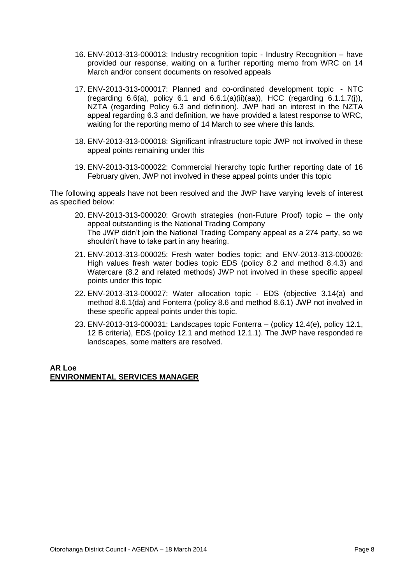- 16. ENV-2013-313-000013: Industry recognition topic Industry Recognition have provided our response, waiting on a further reporting memo from WRC on 14 March and/or consent documents on resolved appeals
- 17. ENV-2013-313-000017: Planned and co-ordinated development topic NTC (regarding 6.6(a), policy 6.1 and 6.6.1(a)(ii)(aa)), HCC (regarding 6.1.1.7(j)), NZTA (regarding Policy 6.3 and definition). JWP had an interest in the NZTA appeal regarding 6.3 and definition, we have provided a latest response to WRC, waiting for the reporting memo of 14 March to see where this lands.
- 18. ENV-2013-313-000018: Significant infrastructure topic JWP not involved in these appeal points remaining under this
- 19. ENV-2013-313-000022: Commercial hierarchy topic further reporting date of 16 February given, JWP not involved in these appeal points under this topic

The following appeals have not been resolved and the JWP have varying levels of interest as specified below:

- 20. ENV-2013-313-000020: Growth strategies (non-Future Proof) topic the only appeal outstanding is the National Trading Company The JWP didn't join the National Trading Company appeal as a 274 party, so we shouldn't have to take part in any hearing.
- 21. ENV-2013-313-000025: Fresh water bodies topic; and ENV-2013-313-000026: High values fresh water bodies topic EDS (policy 8.2 and method 8.4.3) and Watercare (8.2 and related methods) JWP not involved in these specific appeal points under this topic
- 22. ENV-2013-313-000027: Water allocation topic EDS (objective 3.14(a) and method 8.6.1(da) and Fonterra (policy 8.6 and method 8.6.1) JWP not involved in these specific appeal points under this topic.
- 23. ENV-2013-313-000031: Landscapes topic Fonterra (policy 12.4(e), policy 12.1, 12 B criteria), EDS (policy 12.1 and method 12.1.1). The JWP have responded re landscapes, some matters are resolved.

# **AR Loe ENVIRONMENTAL SERVICES MANAGER**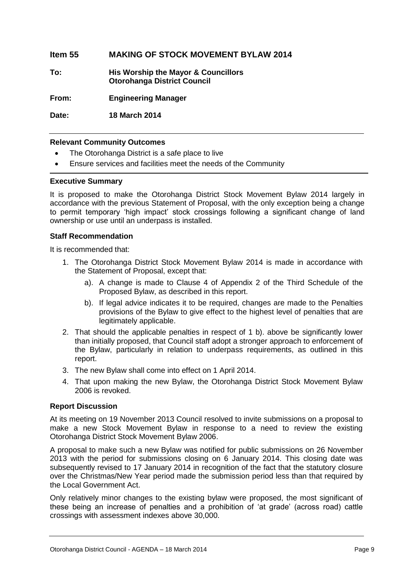# **Item 55 MAKING OF STOCK MOVEMENT BYLAW 2014**

**To: His Worship the Mayor & Councillors Otorohanga District Council**

**From: Engineering Manager**

**Date: 18 March 2014**

# **Relevant Community Outcomes**

- The Otorohanga District is a safe place to live
- Ensure services and facilities meet the needs of the Community

# **Executive Summary**

It is proposed to make the Otorohanga District Stock Movement Bylaw 2014 largely in accordance with the previous Statement of Proposal, with the only exception being a change to permit temporary 'high impact' stock crossings following a significant change of land ownership or use until an underpass is installed.

# **Staff Recommendation**

It is recommended that:

- 1. The Otorohanga District Stock Movement Bylaw 2014 is made in accordance with the Statement of Proposal, except that:
	- a). A change is made to Clause 4 of Appendix 2 of the Third Schedule of the Proposed Bylaw, as described in this report.
	- b). If legal advice indicates it to be required, changes are made to the Penalties provisions of the Bylaw to give effect to the highest level of penalties that are legitimately applicable.
- 2. That should the applicable penalties in respect of 1 b). above be significantly lower than initially proposed, that Council staff adopt a stronger approach to enforcement of the Bylaw, particularly in relation to underpass requirements, as outlined in this report.
- 3. The new Bylaw shall come into effect on 1 April 2014.
- 4. That upon making the new Bylaw, the Otorohanga District Stock Movement Bylaw 2006 is revoked.

# **Report Discussion**

At its meeting on 19 November 2013 Council resolved to invite submissions on a proposal to make a new Stock Movement Bylaw in response to a need to review the existing Otorohanga District Stock Movement Bylaw 2006.

A proposal to make such a new Bylaw was notified for public submissions on 26 November 2013 with the period for submissions closing on 6 January 2014. This closing date was subsequently revised to 17 January 2014 in recognition of the fact that the statutory closure over the Christmas/New Year period made the submission period less than that required by the Local Government Act.

Only relatively minor changes to the existing bylaw were proposed, the most significant of these being an increase of penalties and a prohibition of 'at grade' (across road) cattle crossings with assessment indexes above 30,000.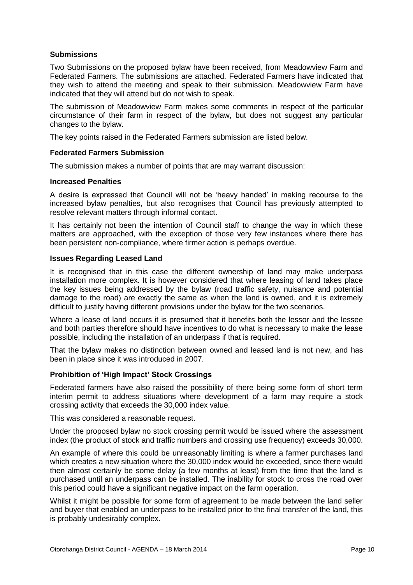# **Submissions**

Two Submissions on the proposed bylaw have been received, from Meadowview Farm and Federated Farmers. The submissions are attached. Federated Farmers have indicated that they wish to attend the meeting and speak to their submission. Meadowview Farm have indicated that they will attend but do not wish to speak.

The submission of Meadowview Farm makes some comments in respect of the particular circumstance of their farm in respect of the bylaw, but does not suggest any particular changes to the bylaw.

The key points raised in the Federated Farmers submission are listed below.

# **Federated Farmers Submission**

The submission makes a number of points that are may warrant discussion:

# **Increased Penalties**

A desire is expressed that Council will not be 'heavy handed' in making recourse to the increased bylaw penalties, but also recognises that Council has previously attempted to resolve relevant matters through informal contact.

It has certainly not been the intention of Council staff to change the way in which these matters are approached, with the exception of those very few instances where there has been persistent non-compliance, where firmer action is perhaps overdue.

# **Issues Regarding Leased Land**

It is recognised that in this case the different ownership of land may make underpass installation more complex. It is however considered that where leasing of land takes place the key issues being addressed by the bylaw (road traffic safety, nuisance and potential damage to the road) are exactly the same as when the land is owned, and it is extremely difficult to justify having different provisions under the bylaw for the two scenarios.

Where a lease of land occurs it is presumed that it benefits both the lessor and the lessee and both parties therefore should have incentives to do what is necessary to make the lease possible, including the installation of an underpass if that is required.

That the bylaw makes no distinction between owned and leased land is not new, and has been in place since it was introduced in 2007.

# **Prohibition of 'High Impact' Stock Crossings**

Federated farmers have also raised the possibility of there being some form of short term interim permit to address situations where development of a farm may require a stock crossing activity that exceeds the 30,000 index value.

This was considered a reasonable request.

Under the proposed bylaw no stock crossing permit would be issued where the assessment index (the product of stock and traffic numbers and crossing use frequency) exceeds 30,000.

An example of where this could be unreasonably limiting is where a farmer purchases land which creates a new situation where the 30,000 index would be exceeded, since there would then almost certainly be some delay (a few months at least) from the time that the land is purchased until an underpass can be installed. The inability for stock to cross the road over this period could have a significant negative impact on the farm operation.

Whilst it might be possible for some form of agreement to be made between the land seller and buyer that enabled an underpass to be installed prior to the final transfer of the land, this is probably undesirably complex.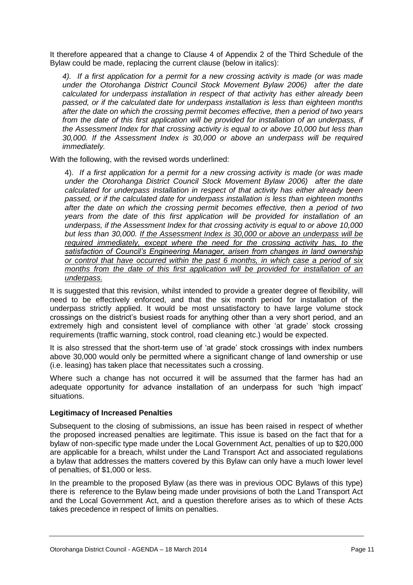It therefore appeared that a change to Clause 4 of Appendix 2 of the Third Schedule of the Bylaw could be made, replacing the current clause (below in italics):

*4). If a first application for a permit for a new crossing activity is made (or was made under the Otorohanga District Council Stock Movement Bylaw 2006) after the date calculated for underpass installation in respect of that activity has either already been passed, or if the calculated date for underpass installation is less than eighteen months after the date on which the crossing permit becomes effective, then a period of two years from the date of this first application will be provided for installation of an underpass, if the Assessment Index for that crossing activity is equal to or above 10,000 but less than 30,000. If the Assessment Index is 30,000 or above an underpass will be required immediately.*

With the following, with the revised words underlined:

4). *If a first application for a permit for a new crossing activity is made (or was made under the Otorohanga District Council Stock Movement Bylaw 2006) after the date calculated for underpass installation in respect of that activity has either already been passed, or if the calculated date for underpass installation is less than eighteen months after the date on which the crossing permit becomes effective, then a period of two years from the date of this first application will be provided for installation of an underpass, if the Assessment Index for that crossing activity is equal to or above 10,000 but less than 30,000. If the Assessment Index is 30,000 or above an underpass will be required immediately, except where the need for the crossing activity has, to the satisfaction of Council's Engineering Manager, arisen from changes in land ownership or control that have occurred within the past 6 months, in which case a period of six months from the date of this first application will be provided for installation of an underpass.*

It is suggested that this revision, whilst intended to provide a greater degree of flexibility, will need to be effectively enforced, and that the six month period for installation of the underpass strictly applied. It would be most unsatisfactory to have large volume stock crossings on the district's busiest roads for anything other than a very short period, and an extremely high and consistent level of compliance with other 'at grade' stock crossing requirements (traffic warning, stock control, road cleaning etc.) would be expected.

It is also stressed that the short-term use of 'at grade' stock crossings with index numbers above 30,000 would only be permitted where a significant change of land ownership or use (i.e. leasing) has taken place that necessitates such a crossing.

Where such a change has not occurred it will be assumed that the farmer has had an adequate opportunity for advance installation of an underpass for such 'high impact' situations.

# **Legitimacy of Increased Penalties**

Subsequent to the closing of submissions, an issue has been raised in respect of whether the proposed increased penalties are legitimate. This issue is based on the fact that for a bylaw of non-specific type made under the Local Government Act, penalties of up to \$20,000 are applicable for a breach, whilst under the Land Transport Act and associated regulations a bylaw that addresses the matters covered by this Bylaw can only have a much lower level of penalties, of \$1,000 or less.

In the preamble to the proposed Bylaw (as there was in previous ODC Bylaws of this type) there is reference to the Bylaw being made under provisions of both the Land Transport Act and the Local Government Act, and a question therefore arises as to which of these Acts takes precedence in respect of limits on penalties.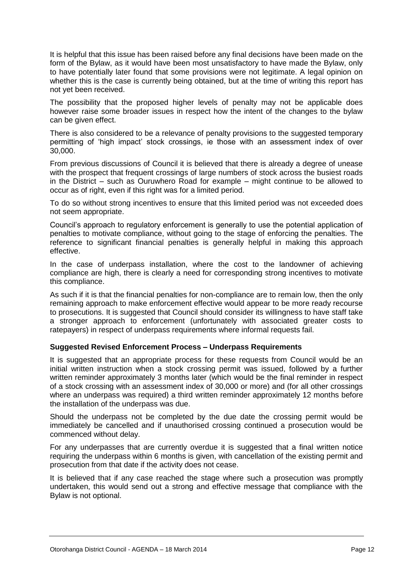It is helpful that this issue has been raised before any final decisions have been made on the form of the Bylaw, as it would have been most unsatisfactory to have made the Bylaw, only to have potentially later found that some provisions were not legitimate. A legal opinion on whether this is the case is currently being obtained, but at the time of writing this report has not yet been received.

The possibility that the proposed higher levels of penalty may not be applicable does however raise some broader issues in respect how the intent of the changes to the bylaw can be given effect.

There is also considered to be a relevance of penalty provisions to the suggested temporary permitting of 'high impact' stock crossings, ie those with an assessment index of over 30,000.

From previous discussions of Council it is believed that there is already a degree of unease with the prospect that frequent crossings of large numbers of stock across the busiest roads in the District – such as Ouruwhero Road for example – might continue to be allowed to occur as of right, even if this right was for a limited period.

To do so without strong incentives to ensure that this limited period was not exceeded does not seem appropriate.

Council's approach to regulatory enforcement is generally to use the potential application of penalties to motivate compliance, without going to the stage of enforcing the penalties. The reference to significant financial penalties is generally helpful in making this approach effective.

In the case of underpass installation, where the cost to the landowner of achieving compliance are high, there is clearly a need for corresponding strong incentives to motivate this compliance.

As such if it is that the financial penalties for non-compliance are to remain low, then the only remaining approach to make enforcement effective would appear to be more ready recourse to prosecutions. It is suggested that Council should consider its willingness to have staff take a stronger approach to enforcement (unfortunately with associated greater costs to ratepayers) in respect of underpass requirements where informal requests fail.

# **Suggested Revised Enforcement Process – Underpass Requirements**

It is suggested that an appropriate process for these requests from Council would be an initial written instruction when a stock crossing permit was issued, followed by a further written reminder approximately 3 months later (which would be the final reminder in respect of a stock crossing with an assessment index of 30,000 or more) and (for all other crossings where an underpass was required) a third written reminder approximately 12 months before the installation of the underpass was due.

Should the underpass not be completed by the due date the crossing permit would be immediately be cancelled and if unauthorised crossing continued a prosecution would be commenced without delay.

For any underpasses that are currently overdue it is suggested that a final written notice requiring the underpass within 6 months is given, with cancellation of the existing permit and prosecution from that date if the activity does not cease.

It is believed that if any case reached the stage where such a prosecution was promptly undertaken, this would send out a strong and effective message that compliance with the Bylaw is not optional.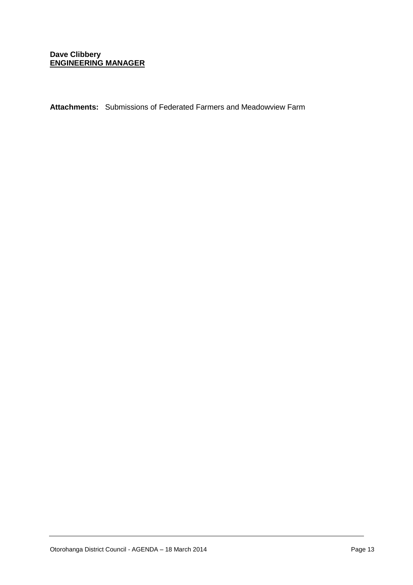# **Dave Clibbery ENGINEERING MANAGER**

**Attachments:** Submissions of Federated Farmers and Meadowview Farm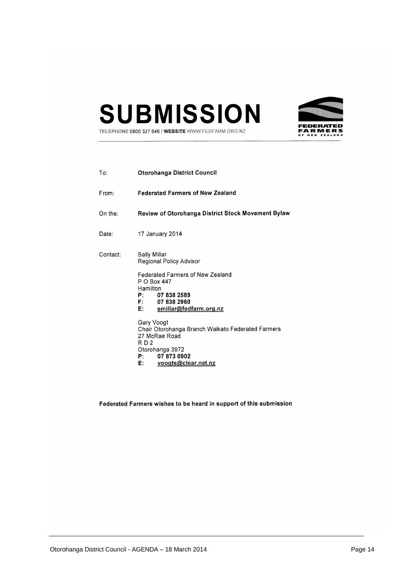



TELEPHONE 0800 327 646 | WEBSITE WWW.FEDFARM.ORG.NZ

| To:                    | <b>Otorohanga District Council</b>                                                                                                                                      |
|------------------------|-------------------------------------------------------------------------------------------------------------------------------------------------------------------------|
| From:                  | <b>Federated Farmers of New Zealand</b>                                                                                                                                 |
| On the: $\overline{ }$ | <b>Review of Otorohanga District Stock Movement Bylaw</b>                                                                                                               |
| Date∶                  | 17 January 2014                                                                                                                                                         |
| Contact:               | Sally Millar<br>Regional Policy Advisor                                                                                                                                 |
|                        | <b>Federated Farmers of New Zealand</b><br>P O Box 447<br>Hamilton<br>P: 07 838 2589<br>F: 078382960<br>smillar@fedfarm.org.nz<br>E:                                    |
|                        | Gary Voogt<br>Chair Otorohanga Branch Waikato Federated Farmers<br>27 McRae Road<br>RD <sub>2</sub><br>Otorohanga 3972<br>P: 07 873 0902<br>voogts@clear.net.nz<br>E: T |

Federated Farmers wishes to be heard in support of this submission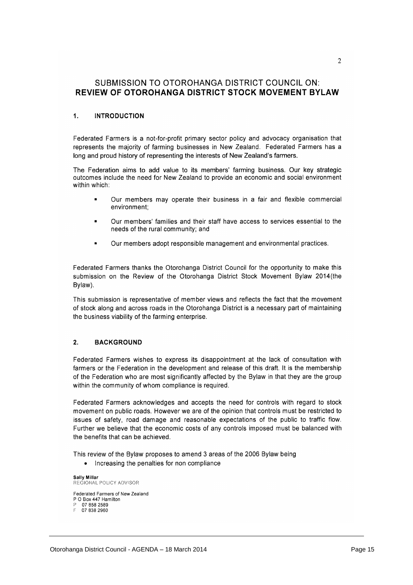# SUBMISSION TO OTOROHANGA DISTRICT COUNCIL ON: REVIEW OF OTOROHANGA DISTRICT STOCK MOVEMENT BYLAW

#### $\mathbf{1}$ **INTRODUCTION**

Federated Farmers is a not-for-profit primary sector policy and advocacy organisation that represents the majority of farming businesses in New Zealand. Federated Farmers has a long and proud history of representing the interests of New Zealand's farmers.

The Federation aims to add value to its members' farming business. Our key strategic outcomes include the need for New Zealand to provide an economic and social environment within which:

- Our members may operate their business in a fair and flexible commercial environment:
- Our members' families and their staff have access to services essential to the needs of the rural community; and
- Our members adopt responsible management and environmental practices.

Federated Farmers thanks the Otorohanga District Council for the opportunity to make this submission on the Review of the Otorohanga District Stock Movement Bylaw 2014 (the Bylaw).

This submission is representative of member views and reflects the fact that the movement of stock along and across roads in the Otorohanga District is a necessary part of maintaining the business viability of the farming enterprise.

#### $2.$ **BACKGROUND**

Federated Farmers wishes to express its disappointment at the lack of consultation with farmers or the Federation in the development and release of this draft. It is the membership of the Federation who are most significantly affected by the Bylaw in that they are the group within the community of whom compliance is required.

Federated Farmers acknowledges and accepts the need for controls with regard to stock movement on public roads. However we are of the opinion that controls must be restricted to issues of safety, road damage and reasonable expectations of the public to traffic flow. Further we believe that the economic costs of any controls imposed must be balanced with the benefits that can be achieved.

This review of the Bylaw proposes to amend 3 areas of the 2006 Bylaw being

• Increasing the penalties for non compliance

**Saily Millar**<br>REGIONAL POLICY ADVISOR Federated Farmers of New Zealand P O Box 447 Hamilton 07 858 2589 07 838 2960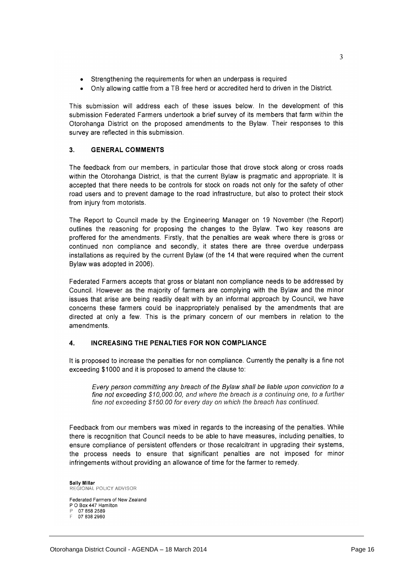- Strengthening the requirements for when an underpass is required
- Only allowing cattle from a TB free herd or accredited herd to driven in the District.

This submission will address each of these issues below. In the development of this submission Federated Farmers undertook a brief survey of its members that farm within the Otorohanga District on the proposed amendments to the Bylaw. Their responses to this survey are reflected in this submission.

#### **GENERAL COMMENTS**  $3.$

The feedback from our members, in particular those that drove stock along or cross roads within the Otorohanga District, is that the current Bylaw is pragmatic and appropriate. It is accepted that there needs to be controls for stock on roads not only for the safety of other road users and to prevent damage to the road infrastructure, but also to protect their stock from injury from motorists.

The Report to Council made by the Engineering Manager on 19 November (the Report) outlines the reasoning for proposing the changes to the Bylaw. Two key reasons are proffered for the amendments. Firstly, that the penalties are weak where there is gross or continued non compliance and secondly, it states there are three overdue underpass installations as required by the current Bylaw (of the 14 that were required when the current Bylaw was adopted in 2006).

Federated Farmers accepts that gross or blatant non compliance needs to be addressed by Council. However as the majority of farmers are complying with the Bylaw and the minor issues that arise are being readily dealt with by an informal approach by Council, we have concerns these farmers could be inappropriately penalised by the amendments that are directed at only a few. This is the primary concern of our members in relation to the amendments.

#### **INCREASING THE PENALTIES FOR NON COMPLIANCE**  $\boldsymbol{4}$ .

It is proposed to increase the penalties for non compliance. Currently the penalty is a fine not exceeding \$1000 and it is proposed to amend the clause to:

Every person committing any breach of the Bylaw shall be liable upon conviction to a fine not exceeding \$10,000.00, and where the breach is a continuing one, to a further fine not exceeding \$150.00 for every day on which the breach has continued.

Feedback from our members was mixed in regards to the increasing of the penalties. While there is recognition that Council needs to be able to have measures, including penalties, to ensure compliance of persistent offenders or those recalcitrant in upgrading their systems, the process needs to ensure that significant penalties are not imposed for minor infringements without providing an allowance of time for the farmer to remedy.

Sally Millar REGIONAL POLICY ADVISOR Federated Farmers of New Zealand P O Box 447 Hamilton 078582589 07 838 2960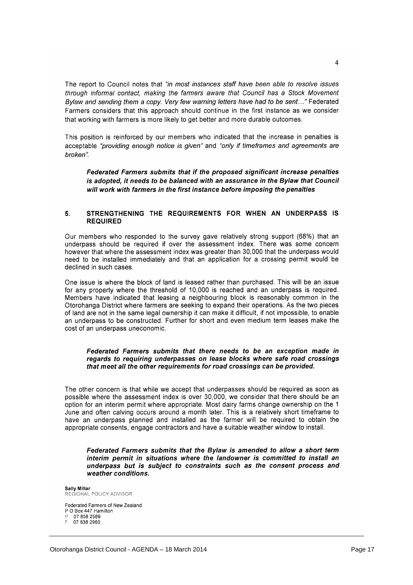The report to Council notes that "in most instances staff have been able to resolve issues through informal contact, making the farmers aware that Council has a Stock Movement Bylaw and sending them a copy. Very few warning letters have had to be sent..." Federated Farmers considers that this approach should continue in the first instance as we consider that working with farmers is more likely to get better and more durable outcomes.

This position is reinforced by our members who indicated that the increase in penalties is acceptable "providing enough notice is given" and "only if timeframes and agreements are broken".

Federated Farmers submits that if the proposed significant increase penalties is adopted, it needs to be balanced with an assurance in the Bylaw that Council will work with farmers in the first instance before imposing the penalties

#### 5. STRENGTHENING THE REQUIREMENTS FOR WHEN AN UNDERPASS IS **REQUIRED**

Our members who responded to the survey gave relatively strong support (68%) that an underpass should be required if over the assessment index. There was some concern however that where the assessment index was greater than 30,000 that the underpass would need to be installed immediately and that an application for a crossing permit would be declined in such cases.

One issue is where the block of land is leased rather than purchased. This will be an issue for any property where the threshold of 10,000 is reached and an underpass is required. Members have indicated that leasing a neighbouring block is reasonably common in the Otorohanga District where farmers are seeking to expand their operations. As the two pieces of land are not in the same legal ownership it can make it difficult, if not impossible, to enable an underpass to be constructed. Further for short and even medium term leases make the cost of an underpass uneconomic.

## Federated Farmers submits that there needs to be an exception made in regards to requiring underpasses on lease blocks where safe road crossings that meet all the other requirements for road crossings can be provided.

The other concern is that while we accept that underpasses should be required as soon as possible where the assessment index is over 30,000, we consider that there should be an option for an interim permit where appropriate. Most dairy farms change ownership on the 1 June and often calving occurs around a month later. This is a relatively short timeframe to have an underpass planned and installed as the farmer will be required to obtain the appropriate consents, engage contractors and have a suitable weather window to install.

Federated Farmers submits that the Bylaw is amended to allow a short term interim permit in situations where the landowner is committed to install an underpass but is subject to constraints such as the consent process and weather conditions.

**Sally Millar** REGIONAL POLICY ADVISOR Federated Farmers of New Zealand P O Box 447 Hamilton

07 858 2589

07 838 2960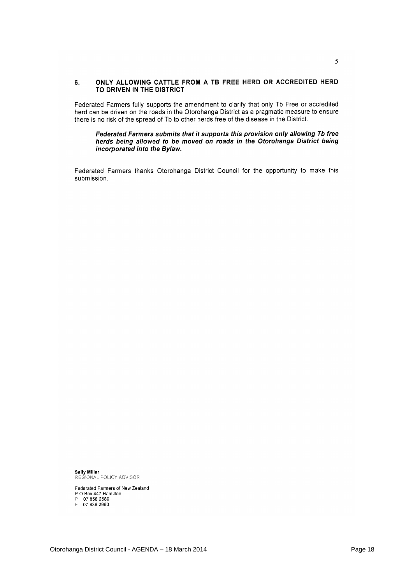#### ONLY ALLOWING CATTLE FROM A TB FREE HERD OR ACCREDITED HERD  $6.$ TO DRIVEN IN THE DISTRICT

Federated Farmers fully supports the amendment to clarify that only Tb Free or accredited herd can be driven on the roads in the Otorohanga District as a pragmatic measure to ensure there is no risk of the spread of Tb to other herds free of the disease in the District.

### Federated Farmers submits that it supports this provision only allowing Tb free herds being allowed to be moved on roads in the Otorohanga District being incorporated into the Bylaw.

Federated Farmers thanks Otorohanga District Council for the opportunity to make this submission.

Sally Millar<br>REGIONAL POLICY ADVISOR

Federated Farmers of New Zealand<br>P O Box 447 Hamilton<br>P 07 858 2589<br>F 07 838 2960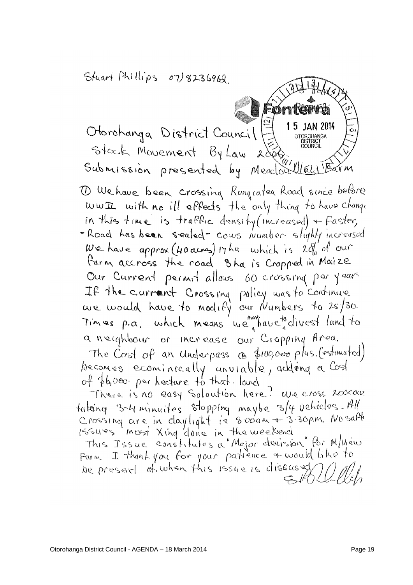Stuart Phillips 07)8236962

15 JAN 2014 Otorohanga District Council Stack Movement By Law  $2006$ Submission presented by Meadoulled Barm

Fønte

1 We have been crossing Rungratea Road since before wwII with no ill eppects the only thing to have change in this time is trafflic density (increased) + Faster, - Road has been sealed - cows Number slightly increased We have approx (40 acres) 17 ha which is 2do of our Parm accross the road 3 ha is Cropped in Maize Our Current permit allows 60 crossing per years If the current Crossing policy was to continue we would have to modify our Numbers to 25/30. Times p.a. which means we have a divest land to a neighbour or increase our Cropping Area. The Cost of an underpass a \$100,000 plus (estimated) becomes ecominically unviable, adding a Cost<br>of fb,000 perhectare to that land

There is no easy Soloution here? We cross roocow taking 3-4 minutes stopping maybe 3/4 vehicles. All Crossing are in daylight is 8 000 m + 3 30pm. No saft 1ssues most Xing done in the weekend

This Issue constitutes a Major decision for M/hèw Farm I thank you for your patience + would like to be present of when this issue is diseased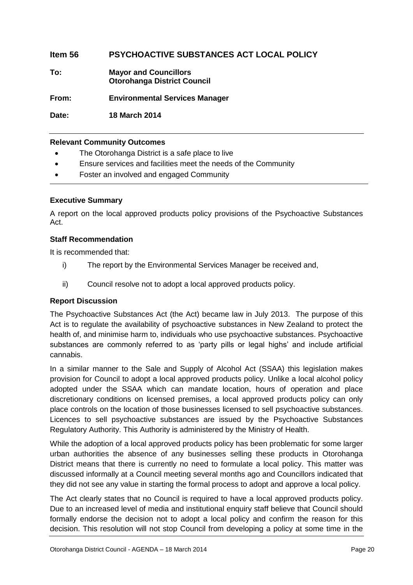# **Item 56 PSYCHOACTIVE SUBSTANCES ACT LOCAL POLICY**

**To: Mayor and Councillors Otorohanga District Council**

**From: Environmental Services Manager**

**Date: 18 March 2014**

# **Relevant Community Outcomes**

- The Otorohanga District is a safe place to live
- Ensure services and facilities meet the needs of the Community
- Foster an involved and engaged Community

# **Executive Summary**

A report on the local approved products policy provisions of the Psychoactive Substances Act.

# **Staff Recommendation**

It is recommended that:

- i) The report by the Environmental Services Manager be received and,
- ii) Council resolve not to adopt a local approved products policy.

# **Report Discussion**

The Psychoactive Substances Act (the Act) became law in July 2013. The purpose of this Act is to regulate the availability of psychoactive substances in New Zealand to protect the health of, and minimise harm to, individuals who use psychoactive substances. Psychoactive substances are commonly referred to as 'party pills or legal highs' and include artificial cannabis.

In a similar manner to the Sale and Supply of Alcohol Act (SSAA) this legislation makes provision for Council to adopt a local approved products policy. Unlike a local alcohol policy adopted under the SSAA which can mandate location, hours of operation and place discretionary conditions on licensed premises, a local approved products policy can only place controls on the location of those businesses licensed to sell psychoactive substances. Licences to sell psychoactive substances are issued by the Psychoactive Substances Regulatory Authority. This Authority is administered by the Ministry of Health.

While the adoption of a local approved products policy has been problematic for some larger urban authorities the absence of any businesses selling these products in Otorohanga District means that there is currently no need to formulate a local policy. This matter was discussed informally at a Council meeting several months ago and Councillors indicated that they did not see any value in starting the formal process to adopt and approve a local policy.

The Act clearly states that no Council is required to have a local approved products policy. Due to an increased level of media and institutional enquiry staff believe that Council should formally endorse the decision not to adopt a local policy and confirm the reason for this decision. This resolution will not stop Council from developing a policy at some time in the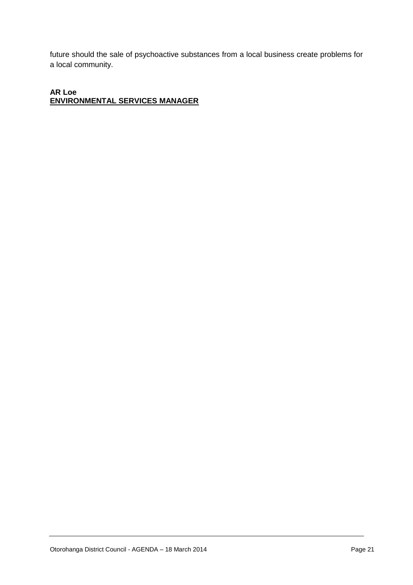future should the sale of psychoactive substances from a local business create problems for a local community.

# **AR Loe ENVIRONMENTAL SERVICES MANAGER**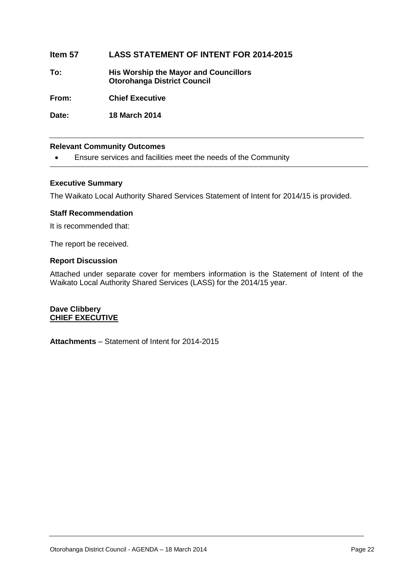# **Item 57 LASS STATEMENT OF INTENT FOR 2014-2015**

**To: His Worship the Mayor and Councillors Otorohanga District Council**

**From: Chief Executive**

**Date: 18 March 2014**

# **Relevant Community Outcomes**

Ensure services and facilities meet the needs of the Community

# **Executive Summary**

The Waikato Local Authority Shared Services Statement of Intent for 2014/15 is provided.

# **Staff Recommendation**

It is recommended that:

The report be received.

# **Report Discussion**

Attached under separate cover for members information is the Statement of Intent of the Waikato Local Authority Shared Services (LASS) for the 2014/15 year.

# **Dave Clibbery CHIEF EXECUTIVE**

**Attachments** – Statement of Intent for 2014-2015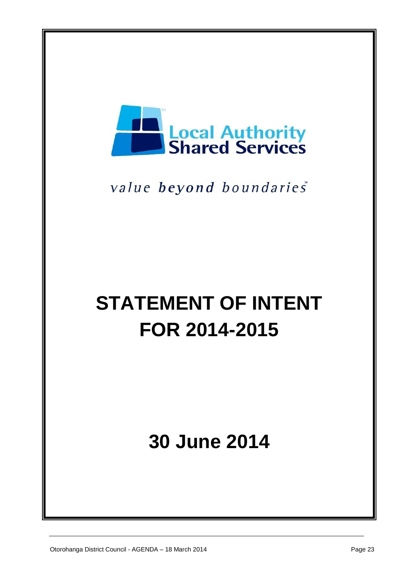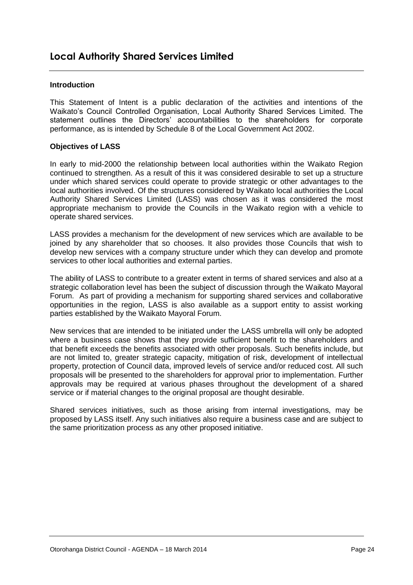# **Introduction**

This Statement of Intent is a public declaration of the activities and intentions of the Waikato's Council Controlled Organisation, Local Authority Shared Services Limited. The statement outlines the Directors' accountabilities to the shareholders for corporate performance, as is intended by Schedule 8 of the Local Government Act 2002.

# **Objectives of LASS**

In early to mid-2000 the relationship between local authorities within the Waikato Region continued to strengthen. As a result of this it was considered desirable to set up a structure under which shared services could operate to provide strategic or other advantages to the local authorities involved. Of the structures considered by Waikato local authorities the Local Authority Shared Services Limited (LASS) was chosen as it was considered the most appropriate mechanism to provide the Councils in the Waikato region with a vehicle to operate shared services.

LASS provides a mechanism for the development of new services which are available to be joined by any shareholder that so chooses. It also provides those Councils that wish to develop new services with a company structure under which they can develop and promote services to other local authorities and external parties.

The ability of LASS to contribute to a greater extent in terms of shared services and also at a strategic collaboration level has been the subject of discussion through the Waikato Mayoral Forum. As part of providing a mechanism for supporting shared services and collaborative opportunities in the region, LASS is also available as a support entity to assist working parties established by the Waikato Mayoral Forum.

New services that are intended to be initiated under the LASS umbrella will only be adopted where a business case shows that they provide sufficient benefit to the shareholders and that benefit exceeds the benefits associated with other proposals. Such benefits include, but are not limited to, greater strategic capacity, mitigation of risk, development of intellectual property, protection of Council data, improved levels of service and/or reduced cost. All such proposals will be presented to the shareholders for approval prior to implementation. Further approvals may be required at various phases throughout the development of a shared service or if material changes to the original proposal are thought desirable.

Shared services initiatives, such as those arising from internal investigations, may be proposed by LASS itself. Any such initiatives also require a business case and are subject to the same prioritization process as any other proposed initiative.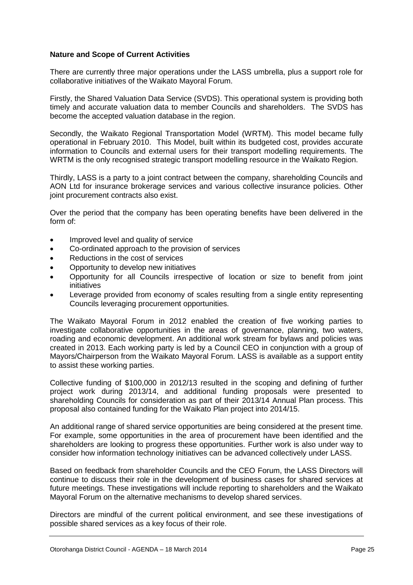# **Nature and Scope of Current Activities**

There are currently three major operations under the LASS umbrella, plus a support role for collaborative initiatives of the Waikato Mayoral Forum.

Firstly, the Shared Valuation Data Service (SVDS). This operational system is providing both timely and accurate valuation data to member Councils and shareholders. The SVDS has become the accepted valuation database in the region.

Secondly, the Waikato Regional Transportation Model (WRTM). This model became fully operational in February 2010. This Model, built within its budgeted cost, provides accurate information to Councils and external users for their transport modelling requirements. The WRTM is the only recognised strategic transport modelling resource in the Waikato Region.

Thirdly, LASS is a party to a joint contract between the company, shareholding Councils and AON Ltd for insurance brokerage services and various collective insurance policies. Other joint procurement contracts also exist.

Over the period that the company has been operating benefits have been delivered in the form of:

- Improved level and quality of service
- Co-ordinated approach to the provision of services
- Reductions in the cost of services
- Opportunity to develop new initiatives
- Opportunity for all Councils irrespective of location or size to benefit from joint initiatives
- Leverage provided from economy of scales resulting from a single entity representing Councils leveraging procurement opportunities.

The Waikato Mayoral Forum in 2012 enabled the creation of five working parties to investigate collaborative opportunities in the areas of governance, planning, two waters, roading and economic development. An additional work stream for bylaws and policies was created in 2013. Each working party is led by a Council CEO in conjunction with a group of Mayors/Chairperson from the Waikato Mayoral Forum. LASS is available as a support entity to assist these working parties.

Collective funding of \$100,000 in 2012/13 resulted in the scoping and defining of further project work during 2013/14, and additional funding proposals were presented to shareholding Councils for consideration as part of their 2013/14 Annual Plan process. This proposal also contained funding for the Waikato Plan project into 2014/15.

An additional range of shared service opportunities are being considered at the present time. For example, some opportunities in the area of procurement have been identified and the shareholders are looking to progress these opportunities. Further work is also under way to consider how information technology initiatives can be advanced collectively under LASS.

Based on feedback from shareholder Councils and the CEO Forum, the LASS Directors will continue to discuss their role in the development of business cases for shared services at future meetings. These investigations will include reporting to shareholders and the Waikato Mayoral Forum on the alternative mechanisms to develop shared services.

Directors are mindful of the current political environment, and see these investigations of possible shared services as a key focus of their role.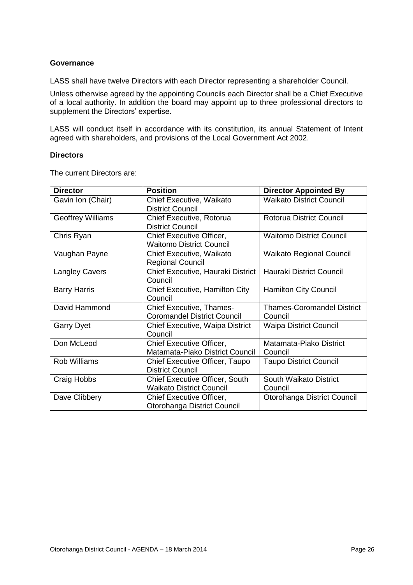# **Governance**

LASS shall have twelve Directors with each Director representing a shareholder Council.

Unless otherwise agreed by the appointing Councils each Director shall be a Chief Executive of a local authority. In addition the board may appoint up to three professional directors to supplement the Directors' expertise.

LASS will conduct itself in accordance with its constitution, its annual Statement of Intent agreed with shareholders, and provisions of the Local Government Act 2002.

# **Directors**

The current Directors are:

| <b>Director</b>          | <b>Position</b>                                                          | <b>Director Appointed By</b>                 |
|--------------------------|--------------------------------------------------------------------------|----------------------------------------------|
| Gavin Ion (Chair)        | Chief Executive, Waikato<br><b>District Council</b>                      | <b>Waikato District Council</b>              |
| <b>Geoffrey Williams</b> | Chief Executive, Rotorua<br><b>District Council</b>                      | Rotorua District Council                     |
| Chris Ryan               | <b>Chief Executive Officer,</b><br><b>Waitomo District Council</b>       | <b>Waitomo District Council</b>              |
| Vaughan Payne            | Chief Executive, Waikato<br><b>Regional Council</b>                      | <b>Waikato Regional Council</b>              |
| <b>Langley Cavers</b>    | Chief Executive, Hauraki District<br>Council                             | Hauraki District Council                     |
| <b>Barry Harris</b>      | Chief Executive, Hamilton City<br>Council                                | <b>Hamilton City Council</b>                 |
| David Hammond            | <b>Chief Executive, Thames-</b><br><b>Coromandel District Council</b>    | <b>Thames-Coromandel District</b><br>Council |
| <b>Garry Dyet</b>        | Chief Executive, Waipa District<br>Council                               | <b>Waipa District Council</b>                |
| Don McLeod               | Chief Executive Officer,<br>Matamata-Piako District Council              | Matamata-Piako District<br>Council           |
| <b>Rob Williams</b>      | Chief Executive Officer, Taupo<br><b>District Council</b>                | <b>Taupo District Council</b>                |
| Craig Hobbs              | <b>Chief Executive Officer, South</b><br><b>Waikato District Council</b> | South Waikato District<br>Council            |
| Dave Clibbery            | <b>Chief Executive Officer,</b><br>Otorohanga District Council           | Otorohanga District Council                  |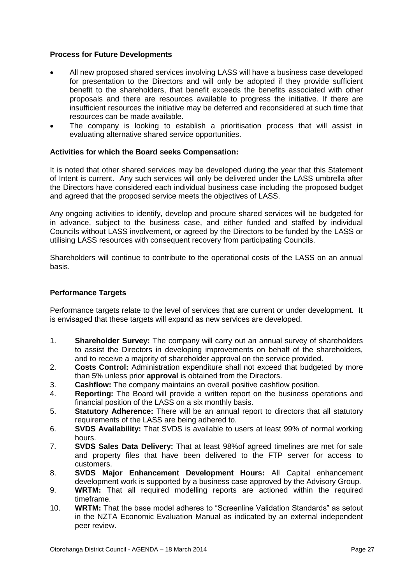# **Process for Future Developments**

- All new proposed shared services involving LASS will have a business case developed for presentation to the Directors and will only be adopted if they provide sufficient benefit to the shareholders, that benefit exceeds the benefits associated with other proposals and there are resources available to progress the initiative. If there are insufficient resources the initiative may be deferred and reconsidered at such time that resources can be made available.
- The company is looking to establish a prioritisation process that will assist in evaluating alternative shared service opportunities.

# **Activities for which the Board seeks Compensation:**

It is noted that other shared services may be developed during the year that this Statement of Intent is current. Any such services will only be delivered under the LASS umbrella after the Directors have considered each individual business case including the proposed budget and agreed that the proposed service meets the objectives of LASS.

Any ongoing activities to identify, develop and procure shared services will be budgeted for in advance, subject to the business case, and either funded and staffed by individual Councils without LASS involvement, or agreed by the Directors to be funded by the LASS or utilising LASS resources with consequent recovery from participating Councils.

Shareholders will continue to contribute to the operational costs of the LASS on an annual basis.

# **Performance Targets**

Performance targets relate to the level of services that are current or under development. It is envisaged that these targets will expand as new services are developed.

- 1. **Shareholder Survey:** The company will carry out an annual survey of shareholders to assist the Directors in developing improvements on behalf of the shareholders, and to receive a majority of shareholder approval on the service provided.
- 2. **Costs Control:** Administration expenditure shall not exceed that budgeted by more than 5% unless prior **approval** is obtained from the Directors.
- 3. **Cashflow:** The company maintains an overall positive cashflow position.
- 4. **Reporting:** The Board will provide a written report on the business operations and financial position of the LASS on a six monthly basis.
- 5. **Statutory Adherence:** There will be an annual report to directors that all statutory requirements of the LASS are being adhered to.
- 6. **SVDS Availability:** That SVDS is available to users at least 99% of normal working hours.
- 7. **SVDS Sales Data Delivery:** That at least 98%of agreed timelines are met for sale and property files that have been delivered to the FTP server for access to customers.
- 8. **SVDS Major Enhancement Development Hours:** All Capital enhancement development work is supported by a business case approved by the Advisory Group.
- 9. **WRTM:** That all required modelling reports are actioned within the required timeframe.
- 10. **WRTM:** That the base model adheres to "Screenline Validation Standards" as setout in the NZTA Economic Evaluation Manual as indicated by an external independent peer review.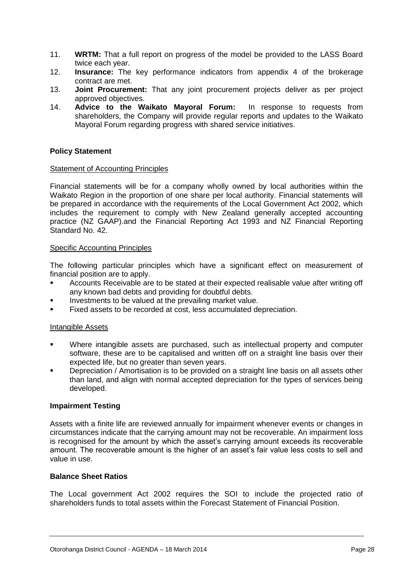- 11. **WRTM:** That a full report on progress of the model be provided to the LASS Board twice each year.
- 12. **Insurance:** The key performance indicators from appendix 4 of the brokerage contract are met.
- 13. **Joint Procurement:** That any joint procurement projects deliver as per project approved objectives.
- 14. **Advice to the Waikato Mayoral Forum:** In response to requests from shareholders, the Company will provide regular reports and updates to the Waikato Mayoral Forum regarding progress with shared service initiatives.

# **Policy Statement**

# Statement of Accounting Principles

Financial statements will be for a company wholly owned by local authorities within the Waikato Region in the proportion of one share per local authority. Financial statements will be prepared in accordance with the requirements of the Local Government Act 2002, which includes the requirement to comply with New Zealand generally accepted accounting practice (NZ GAAP).and the Financial Reporting Act 1993 and NZ Financial Reporting Standard No. 42.

# Specific Accounting Principles

The following particular principles which have a significant effect on measurement of financial position are to apply.

- Accounts Receivable are to be stated at their expected realisable value after writing off any known bad debts and providing for doubtful debts.
- Investments to be valued at the prevailing market value.
- Fixed assets to be recorded at cost, less accumulated depreciation.

# Intangible Assets

- Where intangible assets are purchased, such as intellectual property and computer software, these are to be capitalised and written off on a straight line basis over their expected life, but no greater than seven years.
- Depreciation / Amortisation is to be provided on a straight line basis on all assets other than land, and align with normal accepted depreciation for the types of services being developed.

# **Impairment Testing**

Assets with a finite life are reviewed annually for impairment whenever events or changes in circumstances indicate that the carrying amount may not be recoverable. An impairment loss is recognised for the amount by which the asset's carrying amount exceeds its recoverable amount. The recoverable amount is the higher of an asset's fair value less costs to sell and value in use.

# **Balance Sheet Ratios**

The Local government Act 2002 requires the SOI to include the projected ratio of shareholders funds to total assets within the Forecast Statement of Financial Position.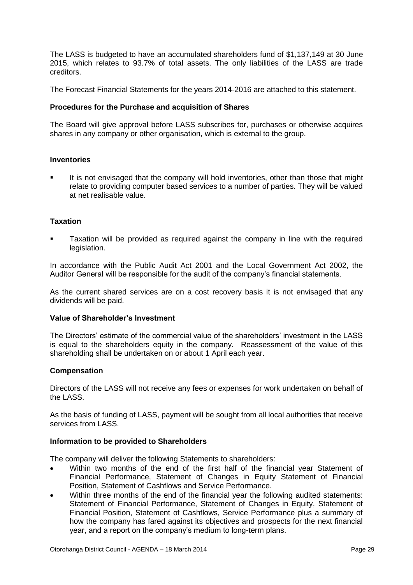The LASS is budgeted to have an accumulated shareholders fund of \$1,137,149 at 30 June 2015, which relates to 93.7% of total assets. The only liabilities of the LASS are trade creditors.

The Forecast Financial Statements for the years 2014-2016 are attached to this statement.

# **Procedures for the Purchase and acquisition of Shares**

The Board will give approval before LASS subscribes for, purchases or otherwise acquires shares in any company or other organisation, which is external to the group.

# **Inventories**

 It is not envisaged that the company will hold inventories, other than those that might relate to providing computer based services to a number of parties. They will be valued at net realisable value.

# **Taxation**

 Taxation will be provided as required against the company in line with the required legislation.

In accordance with the Public Audit Act 2001 and the Local Government Act 2002, the Auditor General will be responsible for the audit of the company's financial statements.

As the current shared services are on a cost recovery basis it is not envisaged that any dividends will be paid.

# **Value of Shareholder's Investment**

The Directors' estimate of the commercial value of the shareholders' investment in the LASS is equal to the shareholders equity in the company. Reassessment of the value of this shareholding shall be undertaken on or about 1 April each year.

# **Compensation**

Directors of the LASS will not receive any fees or expenses for work undertaken on behalf of the LASS.

As the basis of funding of LASS, payment will be sought from all local authorities that receive services from LASS

# **Information to be provided to Shareholders**

The company will deliver the following Statements to shareholders:

- Within two months of the end of the first half of the financial year Statement of Financial Performance, Statement of Changes in Equity Statement of Financial Position, Statement of Cashflows and Service Performance.
- Within three months of the end of the financial year the following audited statements: Statement of Financial Performance, Statement of Changes in Equity, Statement of Financial Position, Statement of Cashflows, Service Performance plus a summary of how the company has fared against its objectives and prospects for the next financial year, and a report on the company's medium to long-term plans.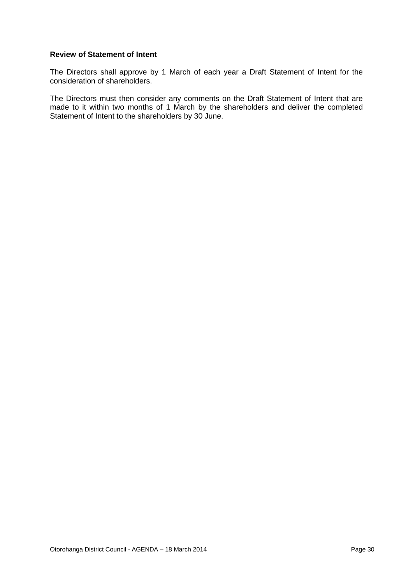# **Review of Statement of Intent**

The Directors shall approve by 1 March of each year a Draft Statement of Intent for the consideration of shareholders.

The Directors must then consider any comments on the Draft Statement of Intent that are made to it within two months of 1 March by the shareholders and deliver the completed Statement of Intent to the shareholders by 30 June.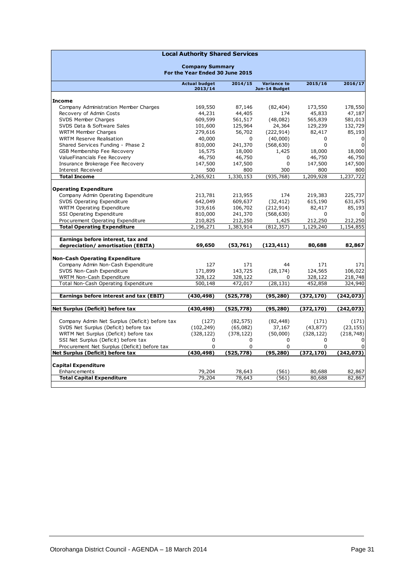| <b>Local Authority Shared Services</b>         |                                                           |            |                                     |            |             |  |  |
|------------------------------------------------|-----------------------------------------------------------|------------|-------------------------------------|------------|-------------|--|--|
|                                                | <b>Company Summary</b><br>For the Year Ended 30 June 2015 |            |                                     |            |             |  |  |
|                                                | <b>Actual budget</b><br>2013/14                           | 2014/15    | <b>Variance to</b><br>Jun-14 Budget | 2015/16    | 2016/17     |  |  |
| <b>Income</b>                                  |                                                           |            |                                     |            |             |  |  |
| Company Administration Member Charges          | 169,550                                                   | 87,146     | (82, 404)                           | 173,550    | 178,550     |  |  |
| Recovery of Admin Costs                        | 44,231                                                    | 44,405     | 174                                 | 45,833     | 47,187      |  |  |
| SVDS Member Charges                            | 609,599                                                   | 561,517    | (48,082)                            | 565,839    | 581,013     |  |  |
| SVDS Data & Software Sales                     | 101,600                                                   | 125,964    | 24,364                              | 129,239    | 132,729     |  |  |
| <b>WRTM Member Charges</b>                     | 279,616                                                   | 56,702     | (222, 914)                          | 82,417     | 85,193      |  |  |
| <b>WRTM Reserve Realisation</b>                | 40,000                                                    | $\Omega$   | (40,000)                            | 0          | 0           |  |  |
| Shared Services Funding - Phase 2              | 810,000                                                   | 241,370    | (568, 630)                          | $\Omega$   | $\mathbf 0$ |  |  |
| GSB Membership Fee Recovery                    | 16,575                                                    | 18,000     | 1,425                               | 18,000     | 18,000      |  |  |
| ValueFinancials Fee Recovery                   | 46,750                                                    | 46,750     | 0                                   | 46,750     | 46,750      |  |  |
| Insurance Brokerage Fee Recovery               | 147,500                                                   | 147,500    | 0                                   | 147,500    | 147,500     |  |  |
| Interest Received                              | 500                                                       | 800        | 300                                 | 800        | 800         |  |  |
| <b>Total Income</b>                            | 2,265,921                                                 | 1,330,153  | (935, 768)                          | 1,209,928  | 1,237,722   |  |  |
|                                                |                                                           |            |                                     |            |             |  |  |
| <b>Operating Expenditure</b>                   |                                                           |            |                                     |            |             |  |  |
| Company Admin Operating Expenditure            | 213,781                                                   | 213,955    | 174                                 | 219,383    | 225,737     |  |  |
| SVDS Operating Expenditure                     | 642,049                                                   | 609,637    | (32, 412)                           | 615,190    | 631,675     |  |  |
| <b>WRTM Operating Expenditure</b>              | 319,616                                                   | 106,702    | (212, 914)                          | 82,417     | 85,193      |  |  |
| SSI Operating Expenditure                      | 810,000                                                   | 241,370    | (568, 630)                          | 0          | $\Omega$    |  |  |
| Procurement Operating Expenditure              | 210,825                                                   | 212,250    | 1,425                               | 212,250    | 212,250     |  |  |
| <b>Total Operating Expenditure</b>             | 2,196,271                                                 | 1,383,914  | (812, 357)                          | 1,129,240  | 1,154,855   |  |  |
|                                                |                                                           |            |                                     |            |             |  |  |
| Earnings before interest, tax and              |                                                           |            |                                     |            |             |  |  |
| depreciation/ amortisation (EBITA)             | 69,650                                                    | (53, 761)  | (123,411)                           | 80,688     | 82,867      |  |  |
|                                                |                                                           |            |                                     |            |             |  |  |
| <b>Non-Cash Operating Expenditure</b>          |                                                           |            |                                     |            |             |  |  |
| Company Admin Non-Cash Expenditure             | 127                                                       | 171        | 44                                  | 171        | 171         |  |  |
| SVDS Non-Cash Expenditure                      | 171,899                                                   | 143,725    | (28, 174)                           | 124,565    | 106,022     |  |  |
| WRTM Non-Cash Expenditure                      | 328,122                                                   | 328,122    | 0                                   | 328,122    | 218,748     |  |  |
| Total Non-Cash Operating Expenditure           | 500,148                                                   | 472,017    | (28, 131)                           | 452,858    | 324,940     |  |  |
|                                                |                                                           |            |                                     |            |             |  |  |
| Earnings before interest and tax (EBIT)        | (430, 498)                                                | (525, 778) | (95, 280)                           | (372, 170) | (242, 073)  |  |  |
|                                                |                                                           |            |                                     |            |             |  |  |
| Net Surplus (Deficit) before tax               | (430, 498)                                                | (525,778)  | (95, 280)                           | (372,170)  | (242,073)   |  |  |
|                                                |                                                           |            |                                     |            |             |  |  |
| Company Admin Net Surplus (Deficit) before tax | (127)                                                     | (82, 575)  | (82, 448)                           | (171)      | (171)       |  |  |
| SVDS Net Surplus (Deficit) before tax          | (102, 249)                                                | (65,082)   | 37,167                              | (43, 877)  | (23, 155)   |  |  |
| WRTM Net Surplus (Deficit) before tax          | (328, 122)                                                | (378, 122) | (50,000)                            | (328, 122) | (218, 748)  |  |  |
| SSI Net Surplus (Deficit) before tax           | 0                                                         | 0          | 0                                   | 0          | $\Omega$    |  |  |
| Procurement Net Surplus (Deficit) before tax   | 0                                                         | 0          | $\Omega$                            | 0          | $\Omega$    |  |  |
| Net Surplus (Deficit) before tax               | (430, 498)                                                | (525, 778) | (95, 280)                           | (372, 170) | (242, 073)  |  |  |
|                                                |                                                           |            |                                     |            |             |  |  |
| <b>Capital Expenditure</b>                     |                                                           |            |                                     |            |             |  |  |
| Enhancements                                   | 79,204                                                    | 78,643     | (561)<br>(561)                      | 80,688     | 82,867      |  |  |
| <b>Total Capital Expenditure</b>               | 79,204                                                    | 78,643     |                                     | 80,688     | 82,867      |  |  |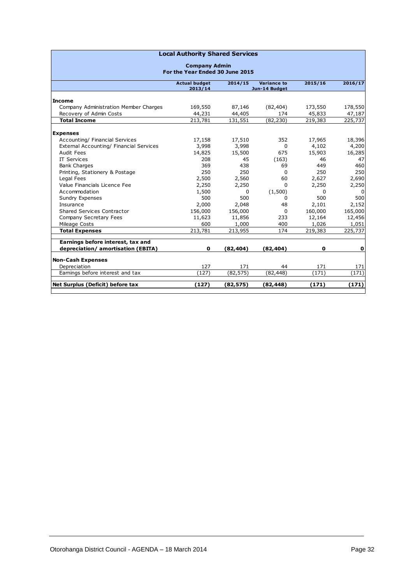| <b>Local Authority Shared Services</b>  |                      |              |               |         |          |  |  |
|-----------------------------------------|----------------------|--------------|---------------|---------|----------|--|--|
| <b>Company Admin</b>                    |                      |              |               |         |          |  |  |
| For the Year Ended 30 June 2015         |                      |              |               |         |          |  |  |
|                                         | <b>Actual budget</b> | 2014/15      | Variance to   | 2015/16 | 2016/17  |  |  |
|                                         | 2013/14              |              | Jun-14 Budget |         |          |  |  |
| <b>Income</b>                           |                      |              |               |         |          |  |  |
| Company Administration Member Charges   | 169,550              | 87,146       | (82, 404)     | 173,550 | 178,550  |  |  |
| Recovery of Admin Costs                 | 44,231               | 44,405       | 174           | 45,833  | 47,187   |  |  |
| <b>Total Income</b>                     | 213,781              | 131,551      | (82, 230)     | 219,383 | 225,737  |  |  |
|                                         |                      |              |               |         |          |  |  |
| <b>Expenses</b>                         |                      |              |               |         |          |  |  |
| Accounting/ Financial Services          | 17,158               | 17,510       | 352           | 17,965  | 18,396   |  |  |
| External Accounting/ Financial Services | 3,998                | 3,998        | $\mathbf{0}$  | 4,102   | 4,200    |  |  |
| Audit Fees                              | 14,825               | 15,500       | 675           | 15,903  | 16,285   |  |  |
| <b>IT Services</b>                      | 208                  | 45           | (163)         | 46      | 47       |  |  |
| <b>Bank Charges</b>                     | 369                  | 438          | 69            | 449     | 460      |  |  |
| Printing, Stationery & Postage          | 250                  | 250          | $\Omega$      | 250     | 250      |  |  |
| Legal Fees                              | 2,500                | 2,560        | 60            | 2,627   | 2,690    |  |  |
| Value Financials Licence Fee            | 2,250                | 2,250        | 0             | 2,250   | 2,250    |  |  |
| Accommodation                           | 1,500                | <sup>0</sup> | (1, 500)      | 0       | $\Omega$ |  |  |
| Sundry Expenses                         | 500                  | 500          | 0             | 500     | 500      |  |  |
| Insurance                               | 2,000                | 2,048        | 48            | 2,101   | 2,152    |  |  |
| <b>Shared Services Contractor</b>       | 156,000              | 156,000      | $\Omega$      | 160,000 | 165,000  |  |  |
| Company Secretary Fees                  | 11,623               | 11,856       | 233           | 12,164  | 12,456   |  |  |
| Mileage Costs                           | 600                  | 1,000        | 400           | 1,026   | 1,051    |  |  |
| <b>Total Expenses</b>                   | 213,781              | 213,955      | 174           | 219,383 | 225,737  |  |  |
| Earnings before interest, tax and       |                      |              |               |         |          |  |  |
| depreciation/ amortisation (EBITA)      | $\mathbf 0$          | (82, 404)    | (82, 404)     | 0       | o        |  |  |
|                                         |                      |              |               |         |          |  |  |
| <b>Non-Cash Expenses</b>                |                      |              |               |         |          |  |  |
| Depreciation                            | 127                  | 171          | 44            | 171     | 171      |  |  |
| Earnings before interest and tax        | (127)                | (82, 575)    | (82, 448)     | (171)   | (171)    |  |  |
| Net Surplus (Deficit) before tax        | (127)                | (82, 575)    | (82, 448)     | (171)   | (171)    |  |  |
|                                         |                      |              |               |         |          |  |  |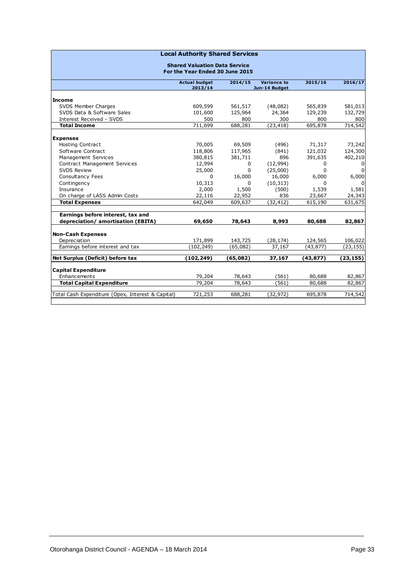| <b>Local Authority Shared Services</b>            |                                      |              |                                     |              |                |  |  |  |  |
|---------------------------------------------------|--------------------------------------|--------------|-------------------------------------|--------------|----------------|--|--|--|--|
|                                                   | <b>Shared Valuation Data Service</b> |              |                                     |              |                |  |  |  |  |
|                                                   | For the Year Ended 30 June 2015      |              |                                     |              |                |  |  |  |  |
|                                                   | <b>Actual budget</b><br>2013/14      | 2014/15      | <b>Variance to</b><br>Jun-14 Budget | 2015/16      | 2016/17        |  |  |  |  |
|                                                   |                                      |              |                                     |              |                |  |  |  |  |
| <b>Income</b>                                     |                                      |              |                                     |              |                |  |  |  |  |
| SVDS Member Charges                               | 609,599                              | 561,517      | (48,082)                            | 565,839      | 581,013        |  |  |  |  |
| SVDS Data & Software Sales                        | 101,600                              | 125,964      | 24,364                              | 129,239      | 132,729        |  |  |  |  |
| Interest Received - SVDS                          | 500                                  | 800          | 300                                 | 800          | 800            |  |  |  |  |
| <b>Total Income</b>                               | 711,699                              | 688,281      | (23, 418)                           | 695,878      | 714,542        |  |  |  |  |
| <b>Expenses</b>                                   |                                      |              |                                     |              |                |  |  |  |  |
| <b>Hosting Contract</b>                           | 70,005                               | 69,509       | (496)                               | 71,317       | 73,242         |  |  |  |  |
| Software Contract                                 | 118,806                              | 117,965      | (841)                               | 121,032      | 124,300        |  |  |  |  |
| Management Services                               | 380,815                              | 381,711      | 896                                 | 391,635      | 402,210        |  |  |  |  |
| Contract Management Services                      | 12,994                               | 0            | (12,994)                            | 0            | 0              |  |  |  |  |
| <b>SVDS Review</b>                                | 25,000                               | $\mathbf{0}$ | (25,000)                            | $\mathbf{0}$ | $\overline{0}$ |  |  |  |  |
| Consultancy Fees                                  | 0                                    | 16,000       | 16,000                              | 6,000        | 6,000          |  |  |  |  |
| Contingency                                       | 10,313                               | 0            | (10, 313)                           | 0            | $\Omega$       |  |  |  |  |
| Insurance                                         | 2,000                                | 1,500        | (500)                               | 1,539        | 1,581          |  |  |  |  |
| On charge of LASS Admin Costs                     | 22,116                               | 22,952       | 836                                 | 23,667       | 24,343         |  |  |  |  |
| <b>Total Expenses</b>                             | 642,049                              | 609,637      | (32, 412)                           | 615,190      | 631,675        |  |  |  |  |
| Earnings before interest, tax and                 |                                      |              |                                     |              |                |  |  |  |  |
| depreciation/ amortisation (EBITA)                | 69,650                               | 78,643       | 8,993                               | 80,688       | 82,867         |  |  |  |  |
|                                                   |                                      |              |                                     |              |                |  |  |  |  |
| <b>Non-Cash Expenses</b>                          |                                      |              |                                     |              |                |  |  |  |  |
| Depreciation                                      | 171,899                              | 143,725      | (28, 174)                           | 124,565      | 106,022        |  |  |  |  |
| Earnings before interest and tax                  | (102, 249)                           | (65,082)     | 37,167                              | (43, 877)    | (23, 155)      |  |  |  |  |
| Net Surplus (Deficit) before tax                  | (102,249)                            | (65,082)     | 37,167                              | (43, 877)    | (23, 155)      |  |  |  |  |
| <b>Capital Expenditure</b>                        |                                      |              |                                     |              |                |  |  |  |  |
| Enhancements                                      | 79,204                               | 78,643       | (561)                               | 80,688       | 82,867         |  |  |  |  |
| <b>Total Capital Expenditure</b>                  | 79,204                               | 78,643       | (561)                               | 80,688       | 82,867         |  |  |  |  |
|                                                   |                                      |              |                                     |              |                |  |  |  |  |
| Total Cash Expenditure (Opex, Interest & Capital) | 721,253                              | 688,281      | (32, 972)                           | 695,878      | 714,542        |  |  |  |  |
|                                                   |                                      |              |                                     |              |                |  |  |  |  |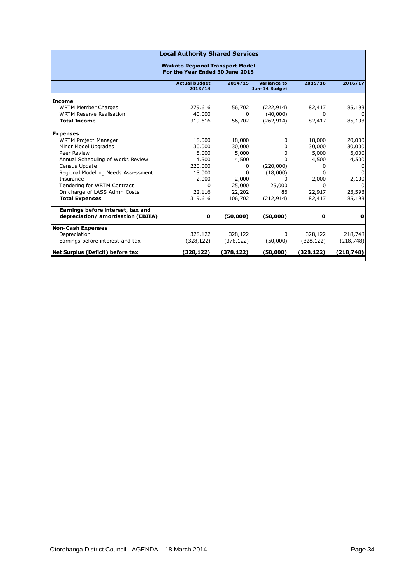| <b>Local Authority Shared Services</b>                                 |                                         |              |                                     |           |              |  |  |  |
|------------------------------------------------------------------------|-----------------------------------------|--------------|-------------------------------------|-----------|--------------|--|--|--|
|                                                                        | <b>Waikato Regional Transport Model</b> |              |                                     |           |              |  |  |  |
| For the Year Ended 30 June 2015                                        |                                         |              |                                     |           |              |  |  |  |
|                                                                        | <b>Actual budget</b><br>2013/14         | 2014/15      | <b>Variance to</b><br>Jun-14 Budget | 2015/16   | 2016/17      |  |  |  |
| <b>Income</b>                                                          |                                         |              |                                     |           |              |  |  |  |
| <b>WRTM Member Charges</b>                                             | 279,616                                 | 56,702       | (222, 914)                          | 82,417    | 85,193       |  |  |  |
| <b>WRTM Reserve Realisation</b>                                        | 40,000                                  | <sup>0</sup> | (40,000)                            | 0         | <sup>n</sup> |  |  |  |
| <b>Total Income</b>                                                    | 319,616                                 | 56,702       | (262,914)                           | 82,417    | 85,193       |  |  |  |
|                                                                        |                                         |              |                                     |           |              |  |  |  |
| <b>Expenses</b><br><b>WRTM Project Manager</b>                         | 18,000                                  | 18,000       | 0                                   | 18,000    | 20,000       |  |  |  |
| Minor Model Upgrades                                                   | 30,000                                  | 30,000       | $\Omega$                            | 30,000    | 30,000       |  |  |  |
| Peer Review                                                            | 5,000                                   | 5,000        | 0                                   | 5,000     | 5,000        |  |  |  |
| Annual Scheduling of Works Review                                      | 4,500                                   | 4,500        | <sup>0</sup>                        | 4,500     | 4,500        |  |  |  |
| Census Update                                                          | 220,000                                 | 0            | (220,000)                           | 0         | <sup>0</sup> |  |  |  |
| Regional Modelling Needs Assessment                                    | 18,000                                  | <sup>0</sup> | (18,000)                            | 0         |              |  |  |  |
| Insurance                                                              | 2,000                                   | 2,000        | 0                                   | 2,000     | 2,100        |  |  |  |
| Tendering for WRTM Contract                                            | 0                                       | 25,000       | 25,000                              | 0         | $\Omega$     |  |  |  |
| On charge of LASS Admin Costs                                          | 22,116                                  | 22,202       | 86                                  | 22,917    | 23,593       |  |  |  |
| <b>Total Expenses</b>                                                  | 319,616                                 | 106,702      | (212,914)                           | 82,417    | 85,193       |  |  |  |
|                                                                        |                                         |              |                                     |           |              |  |  |  |
| Earnings before interest, tax and<br>depreciation/amortisation (EBITA) | 0                                       | (50,000)     |                                     | 0         | 0            |  |  |  |
|                                                                        |                                         |              | (50,000)                            |           |              |  |  |  |
| <b>Non-Cash Expenses</b>                                               |                                         |              |                                     |           |              |  |  |  |
| Depreciation                                                           | 328,122                                 | 328,122      | $\Omega$                            | 328,122   | 218,748      |  |  |  |
| Earnings before interest and tax                                       | (328, 122)                              | (378,122)    | (50,000)                            | (328,122) | (218,748)    |  |  |  |
| Net Surplus (Deficit) before tax                                       | (328,122)                               | (378,122)    | (50,000)                            | (328,122) | (218,748)    |  |  |  |
|                                                                        |                                         |              |                                     |           |              |  |  |  |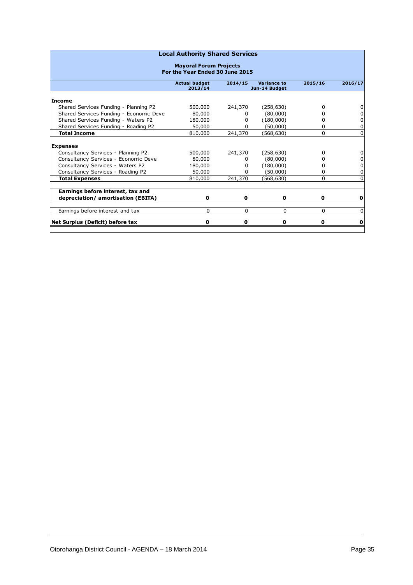| <b>Local Authority Shared Services</b>                           |                                 |              |                              |         |             |  |
|------------------------------------------------------------------|---------------------------------|--------------|------------------------------|---------|-------------|--|
| <b>Mayoral Forum Projects</b><br>For the Year Ended 30 June 2015 |                                 |              |                              |         |             |  |
|                                                                  | <b>Actual budget</b><br>2013/14 | 2014/15      | Variance to<br>Jun-14 Budget | 2015/16 | 2016/17     |  |
| <b>Income</b>                                                    |                                 |              |                              |         |             |  |
| Shared Services Funding - Planning P2                            | 500,000                         | 241,370      | (258, 630)                   | 0       | 0           |  |
| Shared Services Funding - Economic Deve                          | 80,000                          | <sup>0</sup> | (80,000)                     | o       | $\pmb{0}$   |  |
| Shared Services Funding - Waters P2                              | 180,000                         | <sup>0</sup> | (180,000)                    | o       | $\pmb{0}$   |  |
| Shared Services Funding - Roading P2                             | 50,000                          | <sup>0</sup> | (50,000)                     | 0       | $\pmb{0}$   |  |
| <b>Total Income</b>                                              | 810,000                         | 241,370      | (568, 630)                   | 0       | $\Omega$    |  |
| <b>Expenses</b>                                                  |                                 |              |                              |         |             |  |
| Consultancy Services - Planning P2                               | 500,000                         | 241,370      | (258, 630)                   | 0       | $\pmb{0}$   |  |
| Consultancy Services - Economic Deve                             | 80,000                          | <sup>0</sup> | (80,000)                     | o       | 0           |  |
| Consultancy Services - Waters P2                                 | 180,000                         | <sup>0</sup> | (180,000)                    | o       | $\pmb{0}$   |  |
| Consultancy Services - Roading P2                                | 50,000                          | ŋ            | (50,000)                     | 0       | 0           |  |
| <b>Total Expenses</b>                                            | 810,000                         | 241,370      | (568, 630)                   | 0       | $\Omega$    |  |
| Earnings before interest, tax and                                |                                 |              |                              |         |             |  |
| depreciation/ amortisation (EBITA)                               | 0                               | 0            | 0                            | 0       | 0           |  |
| Earnings before interest and tax                                 | $\Omega$                        | $\Omega$     | 0                            | 0       | $\Omega$    |  |
| Net Surplus (Deficit) before tax                                 | 0                               | 0            | 0                            | 0       | $\mathbf 0$ |  |
|                                                                  |                                 |              |                              |         |             |  |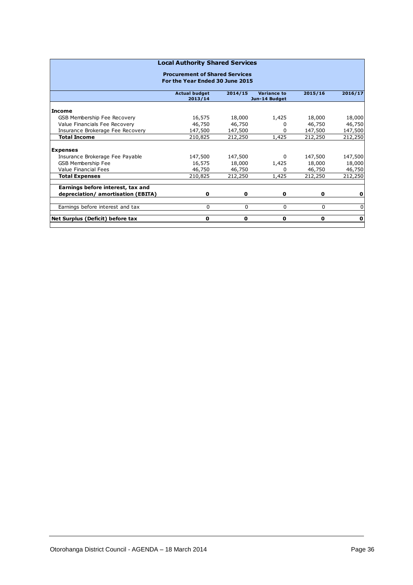| <b>Local Authority Shared Services</b>                                   |                      |         |               |         |             |  |  |
|--------------------------------------------------------------------------|----------------------|---------|---------------|---------|-------------|--|--|
| <b>Procurement of Shared Services</b><br>For the Year Ended 30 June 2015 |                      |         |               |         |             |  |  |
|                                                                          | <b>Actual budget</b> | 2014/15 | Variance to   | 2015/16 | 2016/17     |  |  |
|                                                                          | 2013/14              |         | Jun-14 Budget |         |             |  |  |
| Income                                                                   |                      |         |               |         |             |  |  |
| GSB Membership Fee Recovery                                              | 16,575               | 18,000  | 1,425         | 18,000  | 18,000      |  |  |
| Value Financials Fee Recovery                                            | 46,750               | 46,750  |               | 46,750  | 46,750      |  |  |
| Insurance Brokerage Fee Recovery                                         | 147,500              | 147,500 | 0             | 147,500 | 147,500     |  |  |
| <b>Total Income</b>                                                      | 210,825              | 212,250 | 1,425         | 212,250 | 212,250     |  |  |
|                                                                          |                      |         |               |         |             |  |  |
| <b>Expenses</b>                                                          |                      |         |               |         |             |  |  |
| Insurance Brokerage Fee Payable                                          | 147,500              | 147,500 | 0             | 147,500 | 147,500     |  |  |
| <b>GSB Membership Fee</b>                                                | 16,575               | 18,000  | 1,425         | 18,000  | 18,000      |  |  |
| <b>Value Financial Fees</b>                                              | 46,750               | 46,750  | <sup>0</sup>  | 46,750  | 46,750      |  |  |
| <b>Total Expenses</b>                                                    | 210,825              | 212,250 | 1,425         | 212,250 | 212,250     |  |  |
|                                                                          |                      |         |               |         |             |  |  |
| Earnings before interest, tax and                                        |                      |         |               |         |             |  |  |
| depreciation/ amortisation (EBITA)                                       | 0                    | 0       | 0             | 0       | 0           |  |  |
| Earnings before interest and tax                                         | $\Omega$             | 0       | $\Omega$      | 0       | 0           |  |  |
| Net Surplus (Deficit) before tax                                         | 0                    | 0       | 0             | 0       | $\mathbf 0$ |  |  |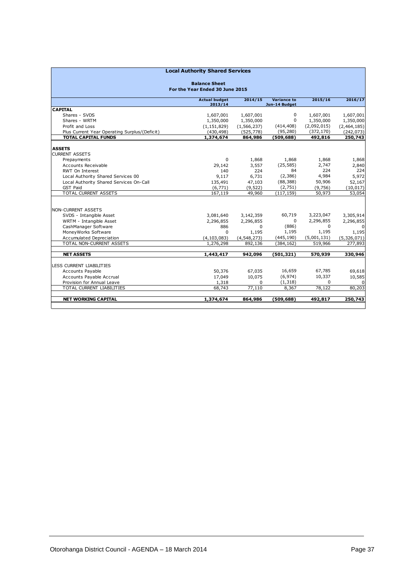|                                                         | <b>Local Authority Shared Services</b> |               |                                     |             |              |  |  |
|---------------------------------------------------------|----------------------------------------|---------------|-------------------------------------|-------------|--------------|--|--|
| <b>Balance Sheet</b><br>For the Year Ended 30 June 2015 |                                        |               |                                     |             |              |  |  |
|                                                         | <b>Actual budget</b><br>2013/14        | 2014/15       | <b>Variance to</b><br>Jun-14 Budget | 2015/16     | 2016/17      |  |  |
| <b>CAPITAL</b>                                          |                                        |               |                                     |             |              |  |  |
| Shares - SVDS                                           | 1,607,001                              | 1,607,001     | 0                                   | 1,607,001   | 1,607,001    |  |  |
| Shares - WRTM                                           | 1,350,000                              | 1,350,000     | $\mathbf 0$                         | 1,350,000   | 1,350,000    |  |  |
| Profit and Loss                                         | (1, 151, 829)                          | (1, 566, 237) | (414, 408)                          | (2,092,015) | (2,464,185)  |  |  |
| Plus Current Year Operating Surplus/(Deficit)           | (430, 498)                             | (525, 778)    | (95, 280)                           | (372, 170)  | (242, 073)   |  |  |
| <b>TOTAL CAPITAL FUNDS</b>                              | 1,374,674                              | 864,986       | (509, 688)                          | 492,816     | 250,743      |  |  |
|                                                         |                                        |               |                                     |             |              |  |  |
| <b>ASSETS</b>                                           |                                        |               |                                     |             |              |  |  |
| <b>CURRENT ASSETS</b>                                   | $\Omega$                               |               | 1,868                               | 1,868       | 1,868        |  |  |
| Prepayments                                             |                                        | 1,868         | (25, 585)                           | 2,747       |              |  |  |
| Accounts Receivable                                     | 29,142                                 | 3,557         | 84                                  | 224         | 2,840<br>224 |  |  |
| RWT On Interest                                         | 140                                    | 224           |                                     | 4,984       |              |  |  |
| Local Authority Shared Services 00                      | 9,117                                  | 6,731         | (2,386)                             |             | 5,972        |  |  |
| Local Authority Shared Services On-Call                 | 135,491                                | 47,103        | (88, 388)                           | 50,906      | 52,167       |  |  |
| <b>GST Paid</b>                                         | (6, 771)                               | (9, 522)      | (2,751)                             | (9,756)     | (10, 017)    |  |  |
| TOTAL CURRENT ASSETS                                    | 167,119                                | 49,960        | (117, 159)                          | 50,973      | 53,054       |  |  |
|                                                         |                                        |               |                                     |             |              |  |  |
| <b>NON-CURRENT ASSETS</b>                               |                                        |               |                                     |             |              |  |  |
| SVDS - Intangible Asset                                 | 3,081,640                              | 3,142,359     | 60,719                              | 3,223,047   | 3,305,914    |  |  |
| WRTM - Intangible Asset                                 | 2,296,855                              | 2,296,855     | 0                                   | 2,296,855   | 2,296,855    |  |  |
| CashManager Software                                    | 886                                    | $\Omega$      | (886)                               | $\Omega$    | $\Omega$     |  |  |
| MoneyWorks Software                                     | $\Omega$                               | 1,195         | 1,195                               | 1,195       | 1,195        |  |  |
| Accumulated Depreciation                                | (4, 103, 083)                          | (4, 548, 273) | (445, 190)                          | (5,001,131) | (5,326,071)  |  |  |
| <b>TOTAL NON-CURRENT ASSETS</b>                         | 1,276,298                              | 892,136       | (384, 162)                          | 519,966     | 277,893      |  |  |
| <b>NET ASSETS</b>                                       | 1,443,417                              | 942,096       | (501,321)                           | 570,939     | 330,946      |  |  |
|                                                         |                                        |               |                                     |             |              |  |  |
| LESS CURRENT LIABILITIES                                |                                        |               |                                     |             |              |  |  |
| Accounts Payable                                        | 50,376                                 | 67,035        | 16,659                              | 67,785      | 69,618       |  |  |
| Accounts Payable Accrual                                | 17,049                                 | 10,075        | (6, 974)                            | 10,337      | 10,585       |  |  |
| Provision for Annual Leave                              | 1,318                                  | $\mathbf 0$   | (1, 318)                            | $\Omega$    | $\mathbf 0$  |  |  |
| TOTAL CURRENT LIABILITIES                               | 68,743                                 | 77,110        | 8,367                               | 78,122      | 80,203       |  |  |
|                                                         |                                        |               |                                     |             |              |  |  |
| <b>NET WORKING CAPITAL</b>                              | 1,374,674                              | 864,986       | (509, 688)                          | 492,817     | 250,743      |  |  |
|                                                         |                                        |               |                                     |             |              |  |  |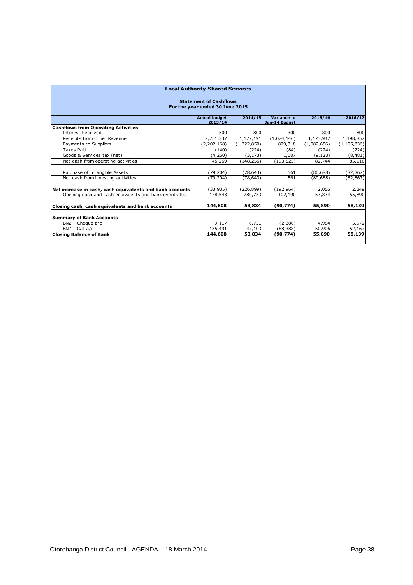| <b>Local Authority Shared Services</b><br><b>Statement of Cashflows</b><br>For the year ended 30 June 2015 |             |             |             |             |               |
|------------------------------------------------------------------------------------------------------------|-------------|-------------|-------------|-------------|---------------|
|                                                                                                            |             |             |             |             |               |
| <b>Cashflows from Operating Activities</b>                                                                 |             |             |             |             |               |
| Interest Received                                                                                          | 500         | 800         | 300         | 800         | 800           |
| Receipts from Other Revenue                                                                                | 2,251,337   | 1,177,191   | (1,074,146) | 1,173,947   | 1,198,857     |
| Payments to Suppliers                                                                                      | (2,202,168) | (1,322,850) | 879,318     | (1,082,656) | (1, 105, 836) |
| <b>Taxes Paid</b>                                                                                          | (140)       | (224)       | (84)        | (224)       | (224)         |
| Goods & Services tax (net)                                                                                 | (4,260)     | (3, 173)    | 1,087       | (9, 123)    | (8,481)       |
| Net cash from operating activities                                                                         | 45,269      | (148.256)   | (193.525)   | 82,744      | 85,116        |
| Purchase of Intangible Assets                                                                              | (79, 204)   | (78, 643)   | 561         | (80, 688)   | (82, 867)     |
| Net cash from investing activities                                                                         | (79,204)    | (78,643)    | 561         | (80.688)    | (82, 867)     |
| Net increase in cash, cash equivalents and bank accounts                                                   | (33,935)    | (226, 899)  | (192.964)   | 2,056       | 2,249         |
| Opening cash and cash equivalents and bank overdrafts                                                      | 178,543     | 280,733     | 102,190     | 53,834      | 55,890        |
| Closing cash, cash equivalents and bank accounts                                                           | 144,608     | 53,834      | (90, 774)   | 55,890      | 58,139        |
|                                                                                                            |             |             |             |             |               |
| <b>Summary of Bank Accounts</b>                                                                            |             |             |             |             |               |
| BNZ - Cheque a/c                                                                                           | 9,117       | 6.731       | (2,386)     | 4,984       | 5,972         |
| BNZ - Call a/c                                                                                             | 135,491     | 47,103      | (88, 388)   | 50,906      | 52,167        |
| <b>Closing Balance of Bank</b>                                                                             | 144,608     | 53,834      | (90,774)    | 55,890      | 58,139        |
|                                                                                                            |             |             |             |             |               |